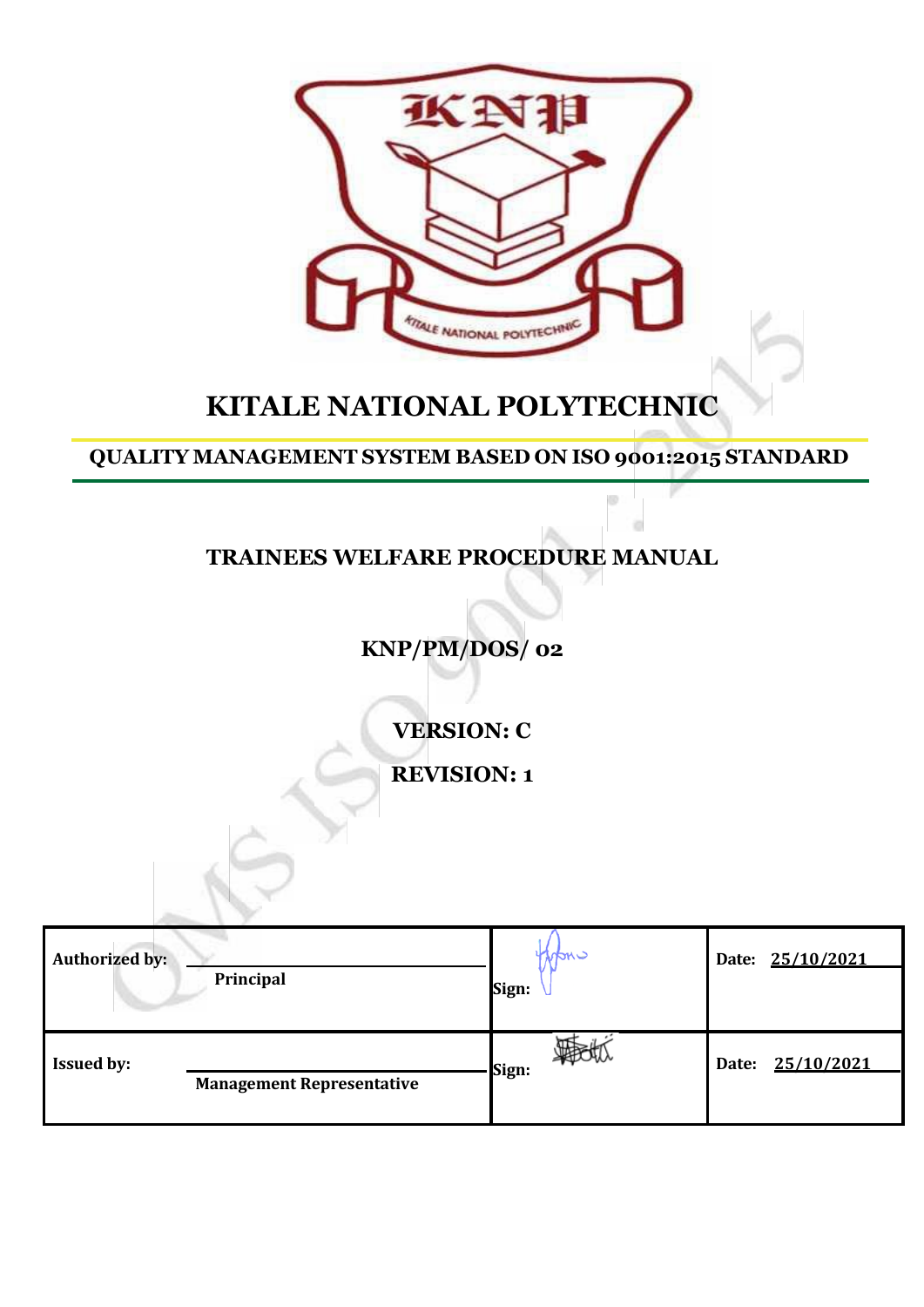

# **KITALE NATIONAL POLYTECHNIC**

# **QUALITY MANAGEMENT SYSTEM BASED ON ISO 9001:2015 STANDARD**

 $\odot$ 

 $\alpha$ 

# **TRAINEES WELFARE PROCEDURE MANUAL**

# **KNP/PM/DOS/ 02**

**VERSION: C**

**REVISION: 1**

| <b>Authorized by:</b> | Principal                        | c mch<br>Sign: | Date: 25/10/2021    |
|-----------------------|----------------------------------|----------------|---------------------|
| <b>Issued by:</b>     | <b>Management Representative</b> | Sign:          | 25/10/2021<br>Date: |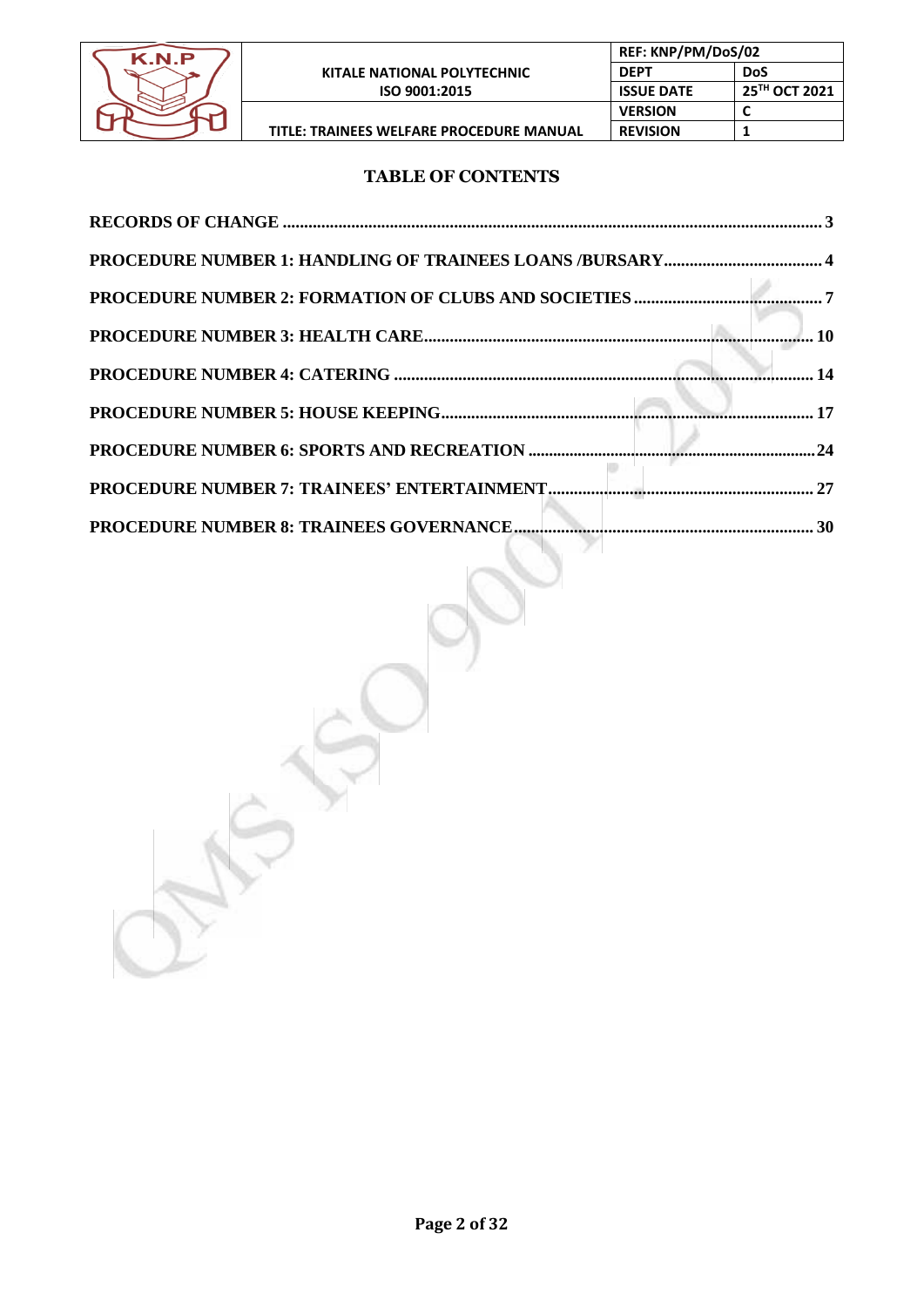

# **TABLE OF CONTENTS**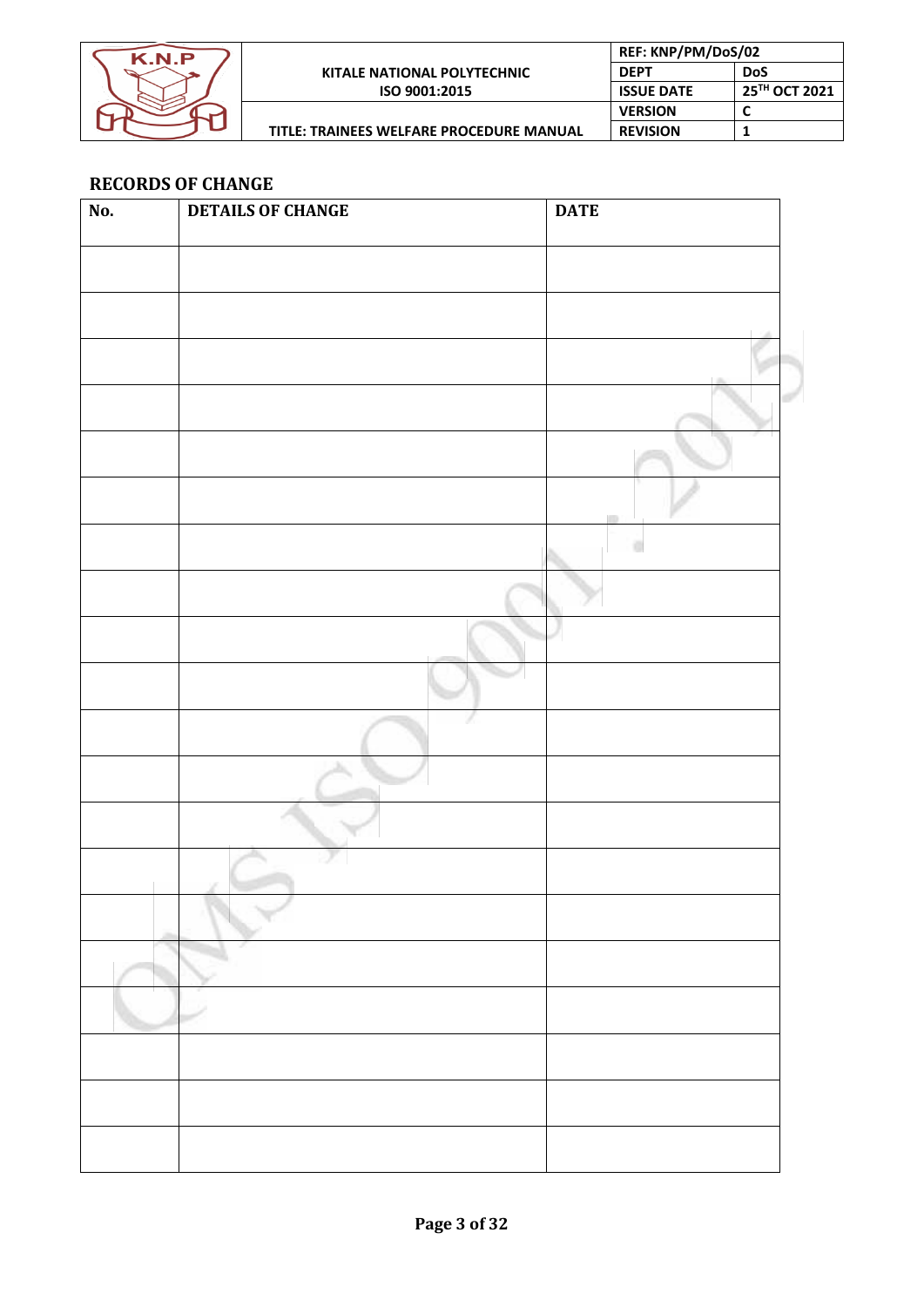

| REF: KNP/PM/DoS/02 |               |
|--------------------|---------------|
| <b>DEPT</b>        | <b>DoS</b>    |
| <b>ISSUE DATE</b>  | 25TH OCT 2021 |
| <b>VERSION</b>     |               |
| <b>REVISION</b>    |               |
|                    |               |

# **RECORDS OF CHANGE**

| No. | <b>DETAILS OF CHANGE</b> | <b>DATE</b> |
|-----|--------------------------|-------------|
|     |                          |             |
|     |                          |             |
|     |                          |             |
|     |                          |             |
|     |                          |             |
|     |                          |             |
|     |                          |             |
|     |                          |             |
|     |                          |             |
|     |                          | o           |
|     |                          |             |
|     |                          |             |
|     |                          |             |
|     |                          |             |
|     |                          |             |
|     |                          |             |
|     |                          |             |
|     |                          |             |
|     | ÷                        |             |
|     |                          |             |
|     |                          |             |
|     |                          |             |
|     |                          |             |
|     |                          |             |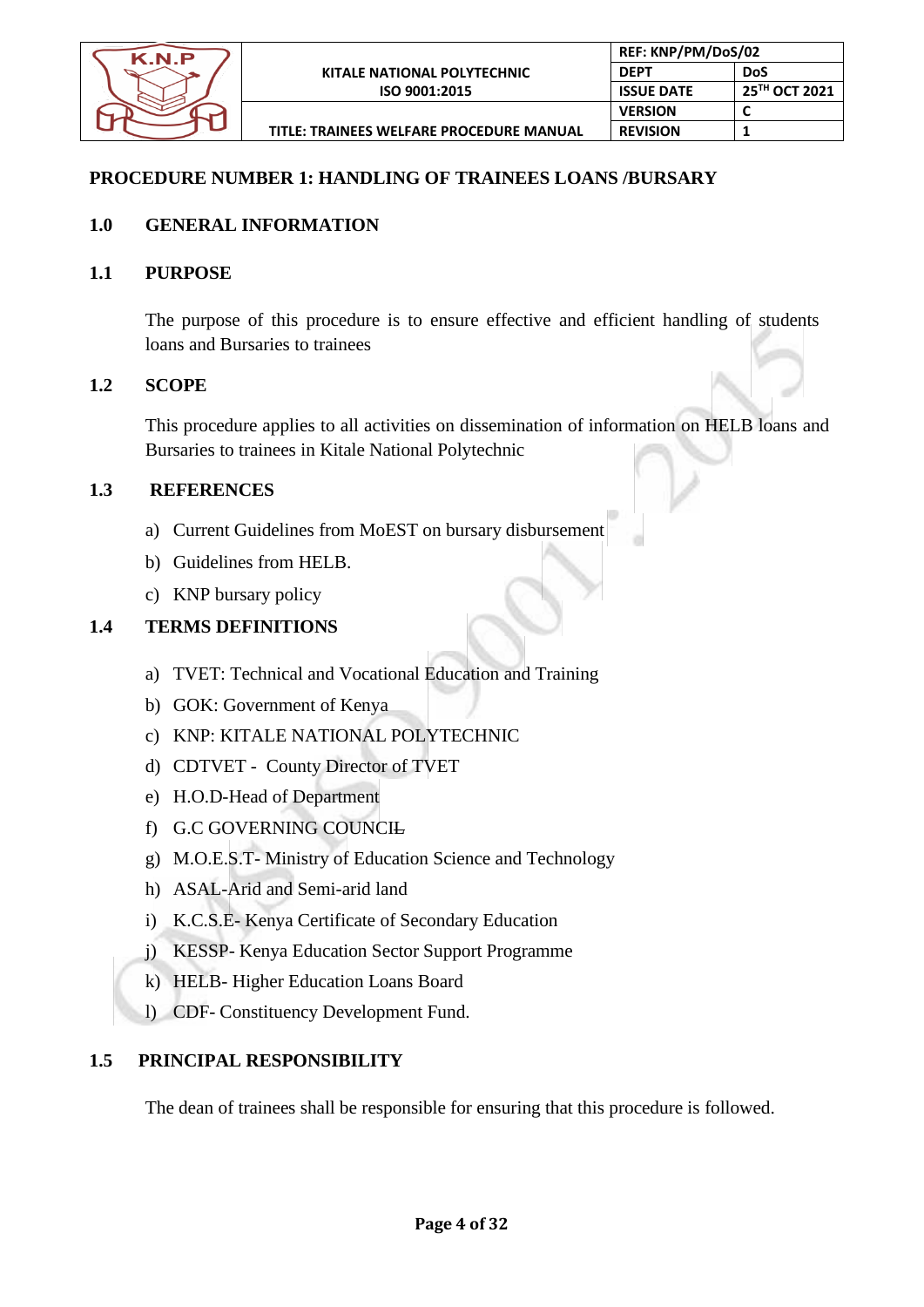

# **PROCEDURE NUMBER 1: HANDLING OF TRAINEES LOANS /BURSARY**

# **1.0 GENERAL INFORMATION**

# **1.1 PURPOSE**

The purpose of this procedure is to ensure effective and efficient handling of students loans and Bursaries to trainees

# **1.2 SCOPE**

This procedure applies to all activities on dissemination of information on HELB loans and Bursaries to trainees in Kitale National Polytechnic

# **1.3 REFERENCES**

- a) Current Guidelines from MoEST on bursary disbursement
- b) Guidelines from HELB.
- c) KNP bursary policy

# **1.4 TERMS DEFINITIONS**

- a) TVET: Technical and Vocational Education and Training
- b) GOK: Government of Kenya
- c) KNP: KITALE NATIONAL POLYTECHNIC
- d) CDTVET County Director of TVET
- e) H.O.D-Head of Department
- f) G.C GOVERNING COUNCIL
- g) M.O.E.S.T- Ministry of Education Science and Technology
- h) ASAL-Arid and Semi-arid land
- i) K.C.S.E- Kenya Certificate of Secondary Education
- j) KESSP- Kenya Education Sector Support Programme
- k) HELB- Higher Education Loans Board
- l) CDF- Constituency Development Fund.

# **1.5 PRINCIPAL RESPONSIBILITY**

The dean of trainees shall be responsible for ensuring that this procedure is followed.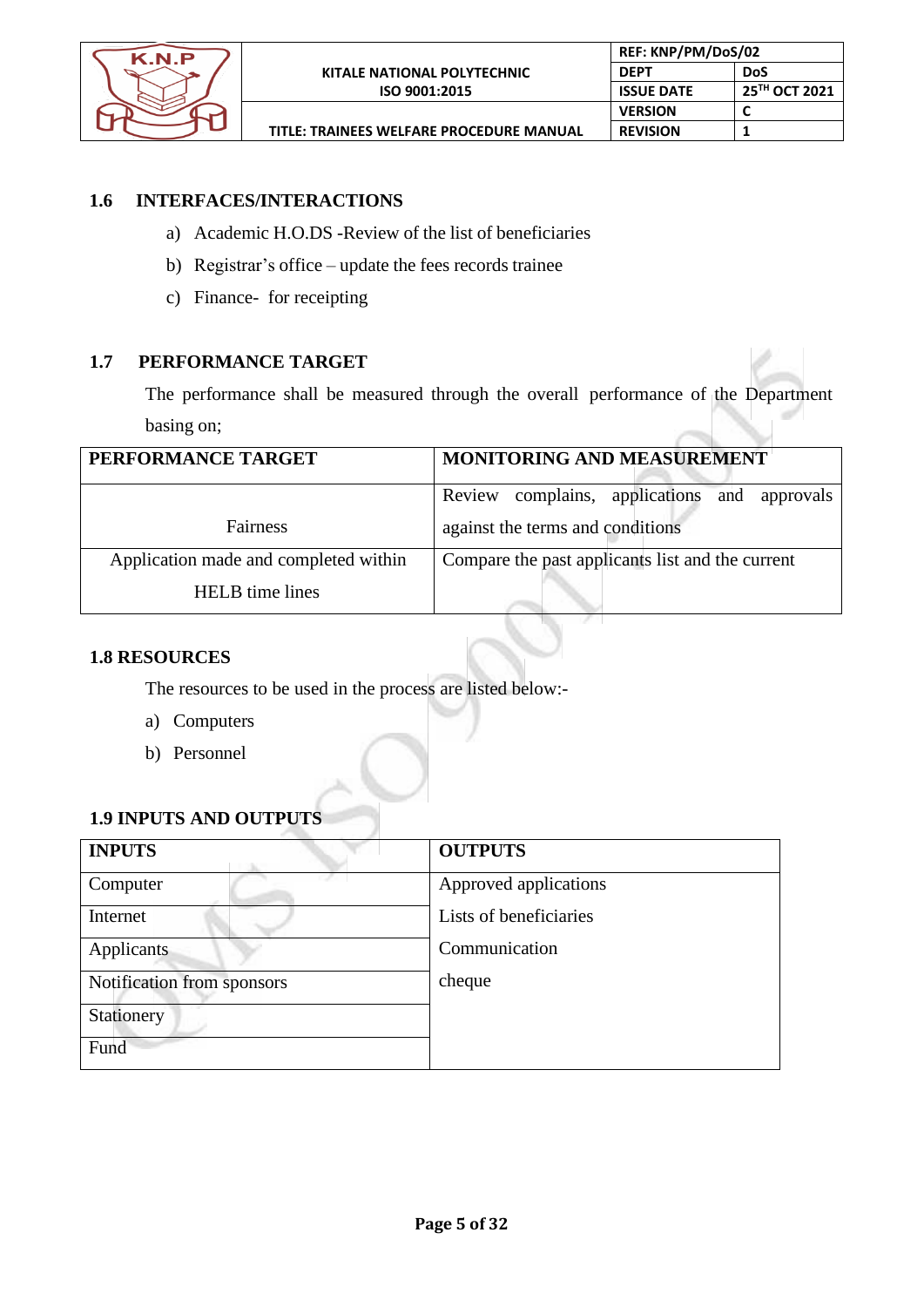

# **1.6 INTERFACES/INTERACTIONS**

- a) Academic H.O.DS -Review of the list of beneficiaries
- b) Registrar's office update the fees records trainee
- c) Finance- for receipting

# **1.7 PERFORMANCE TARGET**

The performance shall be measured through the overall performance of the Department basing on;

| PERFORMANCE TARGET                    | MONITORING AND MEASUREMENT                       |
|---------------------------------------|--------------------------------------------------|
|                                       | Review complains, applications and approvals     |
| Fairness                              | against the terms and conditions                 |
| Application made and completed within | Compare the past applicants list and the current |
| <b>HELB</b> time lines                |                                                  |

# **1.8 RESOURCES**

The resources to be used in the process are listed below:-

- a) Computers
- b) Personnel

# **1.9 INPUTS AND OUTPUTS**

| <b>INPUTS</b>              | <b>OUTPUTS</b>         |
|----------------------------|------------------------|
| Computer                   | Approved applications  |
| Internet                   | Lists of beneficiaries |
| Applicants                 | Communication          |
| Notification from sponsors | cheque                 |
| Stationery                 |                        |
| Fund                       |                        |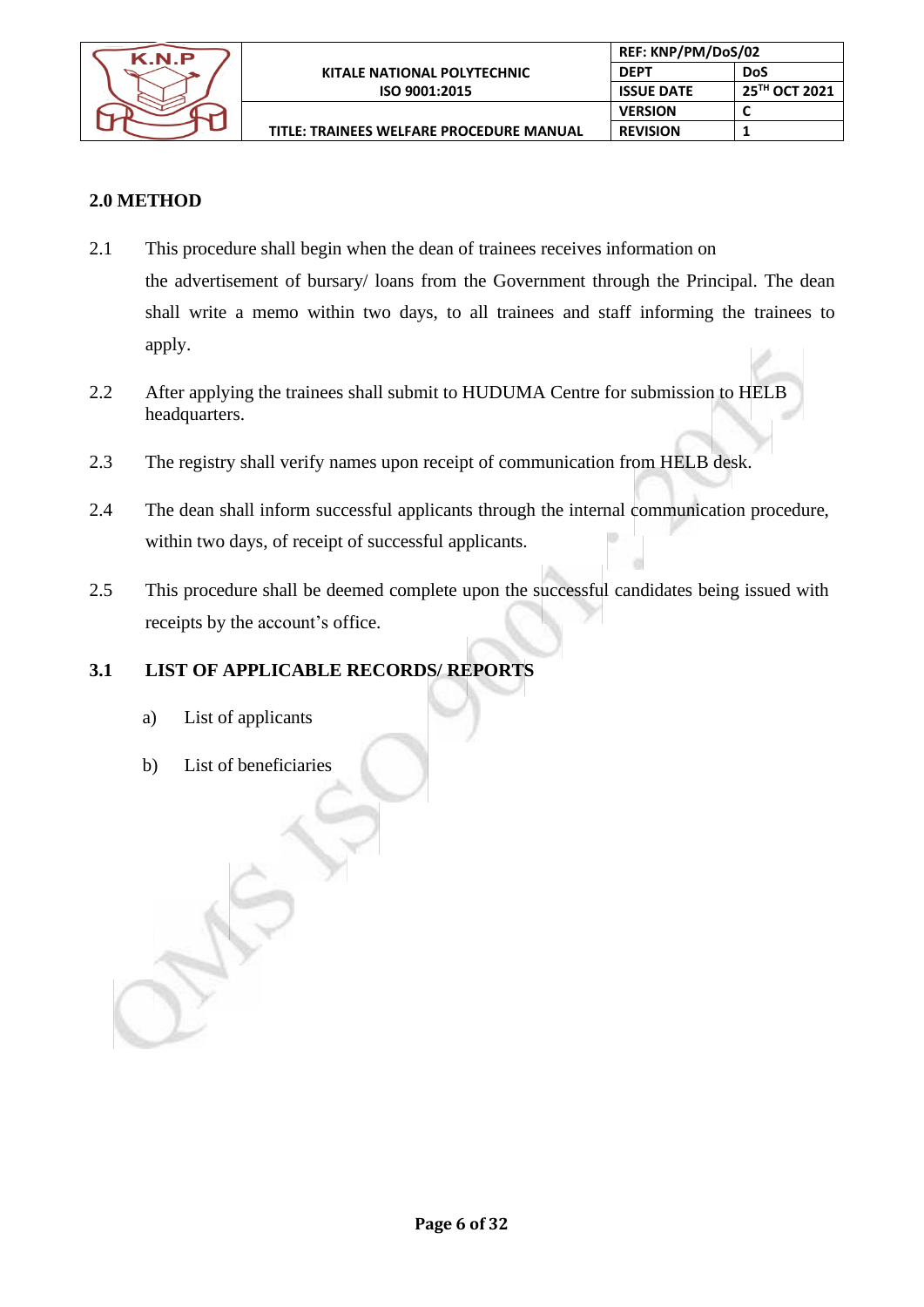

**REF: KNP/PM/DoS/02**

# **2.0 METHOD**

- 2.1 This procedure shall begin when the dean of trainees receives information on the advertisement of bursary/ loans from the Government through the Principal. The dean shall write a memo within two days, to all trainees and staff informing the trainees to apply.
- 2.2 After applying the trainees shall submit to HUDUMA Centre for submission to HELB headquarters.
- 2.3 The registry shall verify names upon receipt of communication from HELB desk.
- 2.4 The dean shall inform successful applicants through the internal communication procedure, within two days, of receipt of successful applicants.
- 2.5 This procedure shall be deemed complete upon the successful candidates being issued with receipts by the account's office.

# **3.1 LIST OF APPLICABLE RECORDS/ REPORTS**

- a) List of applicants
- b) List of beneficiaries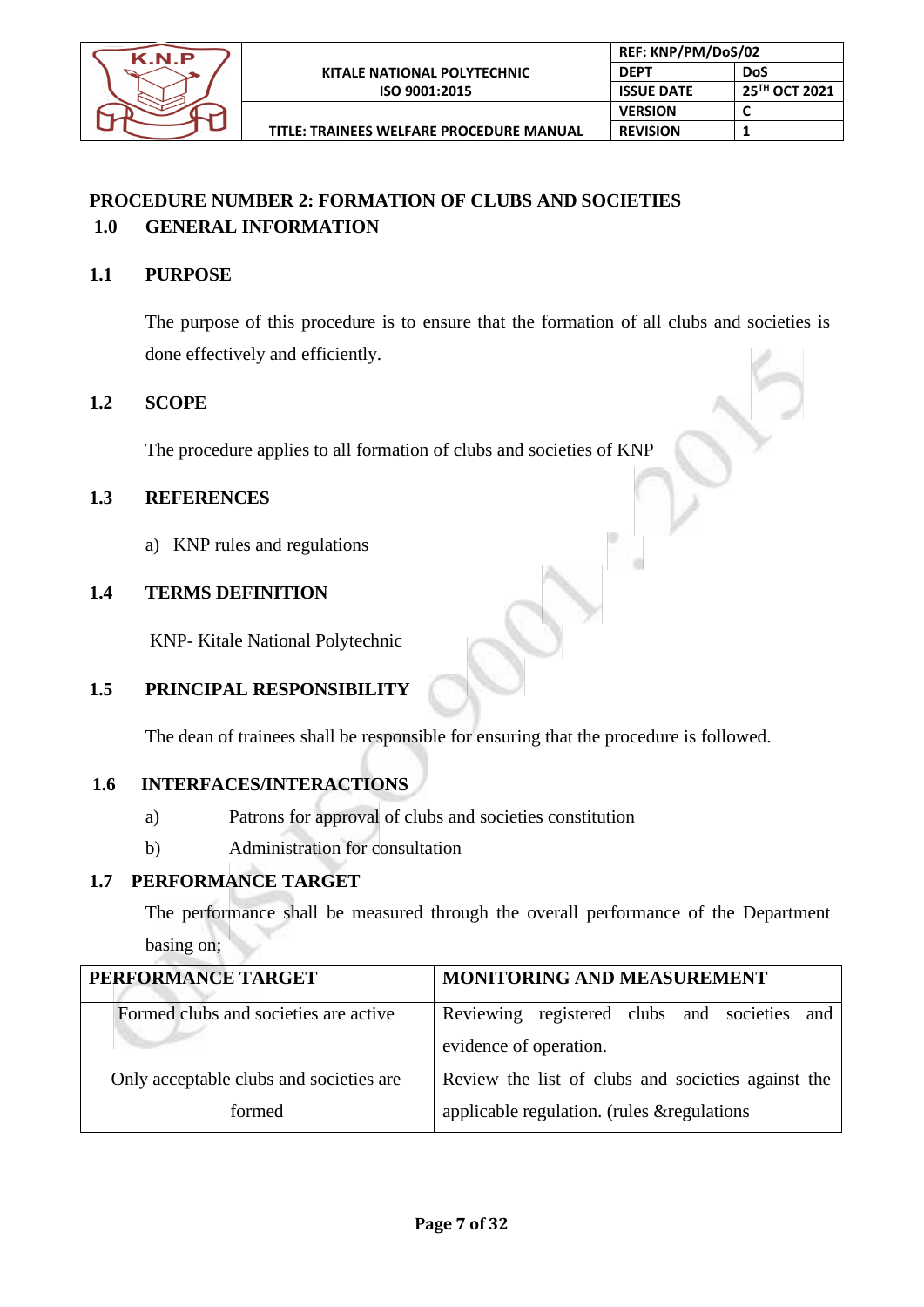

# **PROCEDURE NUMBER 2: FORMATION OF CLUBS AND SOCIETIES 1.0 GENERAL INFORMATION**

# **1.1 PURPOSE**

The purpose of this procedure is to ensure that the formation of all clubs and societies is done effectively and efficiently.

# **1.2 SCOPE**

The procedure applies to all formation of clubs and societies of KNP

# **1.3 REFERENCES**

a) KNP rules and regulations

# **1.4 TERMS DEFINITION**

KNP- Kitale National Polytechnic

# **1.5 PRINCIPAL RESPONSIBILITY**

The dean of trainees shall be responsible for ensuring that the procedure is followed.

# **1.6 INTERFACES/INTERACTIONS**

- a) Patrons for approval of clubs and societies constitution
- b) Administration for consultation

# **1.7 PERFORMANCE TARGET**

The performance shall be measured through the overall performance of the Department basing on;

| PERFORMANCE TARGET                      | MONITORING AND MEASUREMENT                                             |
|-----------------------------------------|------------------------------------------------------------------------|
| Formed clubs and societies are active   | Reviewing registered clubs and societies and<br>evidence of operation. |
| Only acceptable clubs and societies are | Review the list of clubs and societies against the                     |
| formed                                  | applicable regulation. (rules & regulations                            |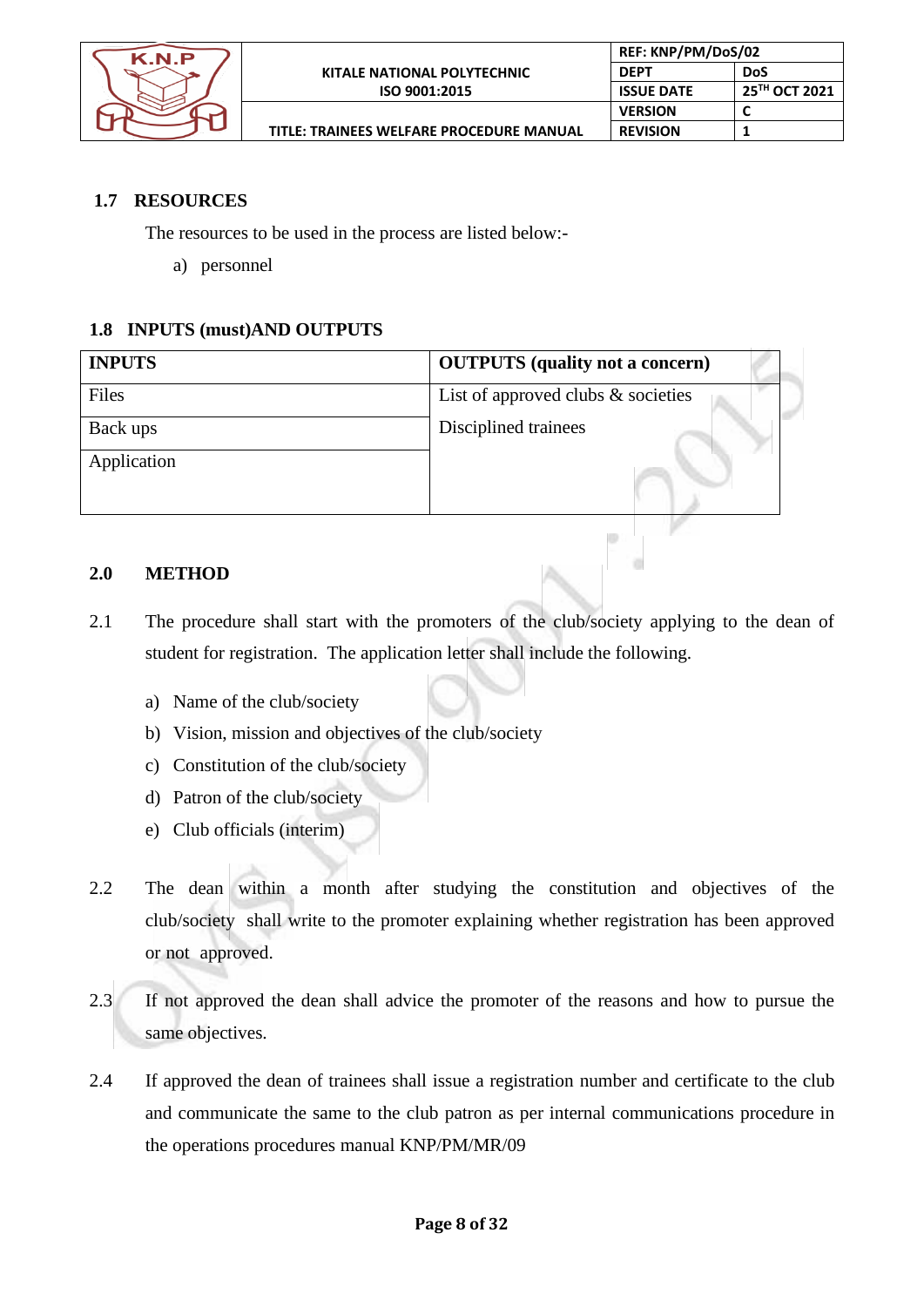

 $\frac{1}{2}$ 

# **1.7 RESOURCES**

The resources to be used in the process are listed below:-

a) personnel

# **1.8 INPUTS (must)AND OUTPUTS**

| <b>INPUTS</b> | <b>OUTPUTS</b> (quality not a concern) |
|---------------|----------------------------------------|
| Files         | List of approved clubs $\&$ societies  |
| Back ups      | Disciplined trainees                   |
| Application   |                                        |
|               |                                        |
|               |                                        |

# **2.0 METHOD**

- 2.1 The procedure shall start with the promoters of the club/society applying to the dean of student for registration. The application letter shall include the following.
	- a) Name of the club/society
	- b) Vision, mission and objectives of the club/society
	- c) Constitution of the club/society
	- d) Patron of the club/society
	- e) Club officials (interim)
- 2.2 The dean within a month after studying the constitution and objectives of the club/society shall write to the promoter explaining whether registration has been approved or not approved.
- 2.3 If not approved the dean shall advice the promoter of the reasons and how to pursue the same objectives.
- 2.4 If approved the dean of trainees shall issue a registration number and certificate to the club and communicate the same to the club patron as per internal communications procedure in the operations procedures manual KNP/PM/MR/09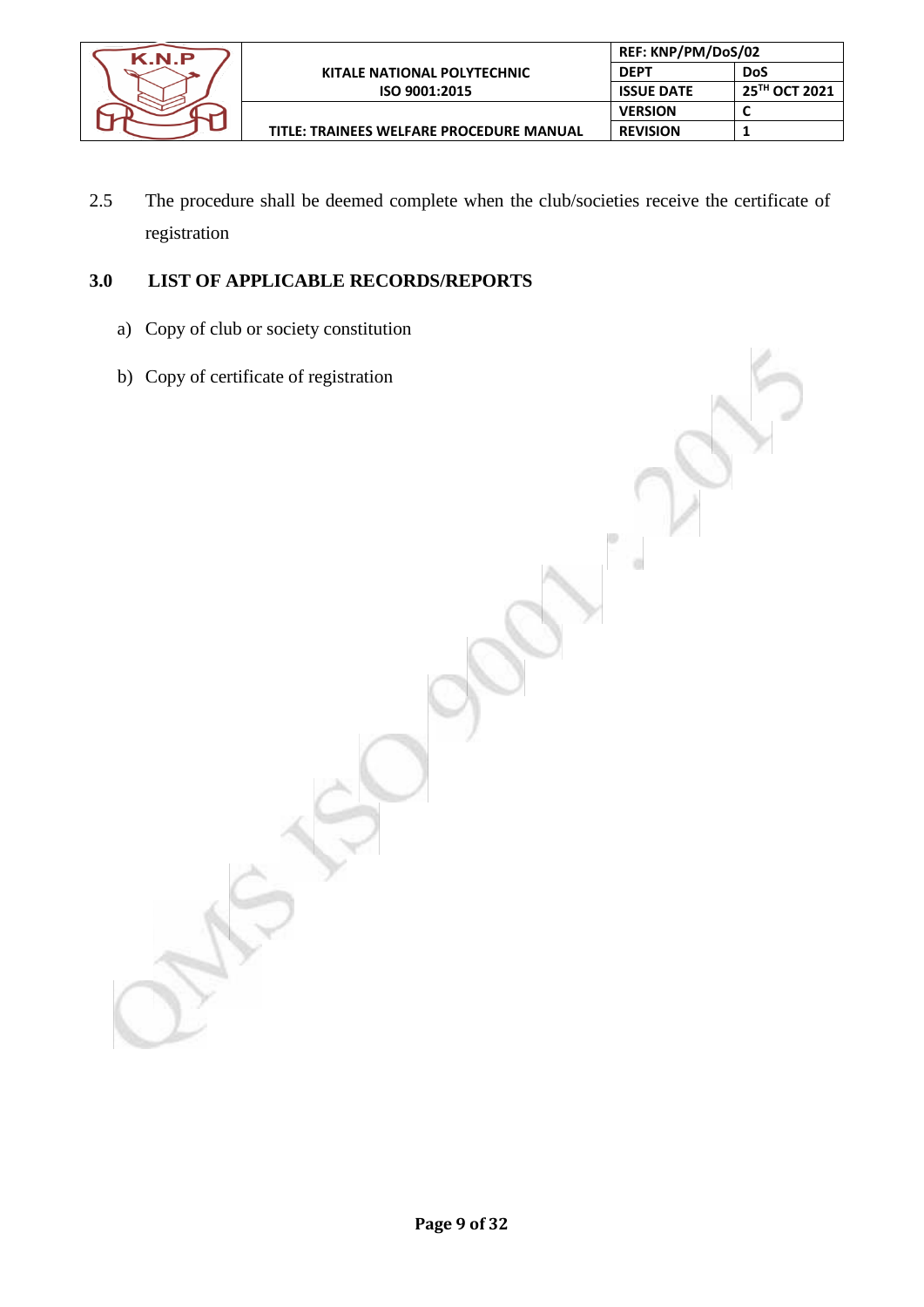

ö

2.5 The procedure shall be deemed complete when the club/societies receive the certificate of registration

# **3.0 LIST OF APPLICABLE RECORDS/REPORTS**

- a) Copy of club or society constitution
- b) Copy of certificate of registration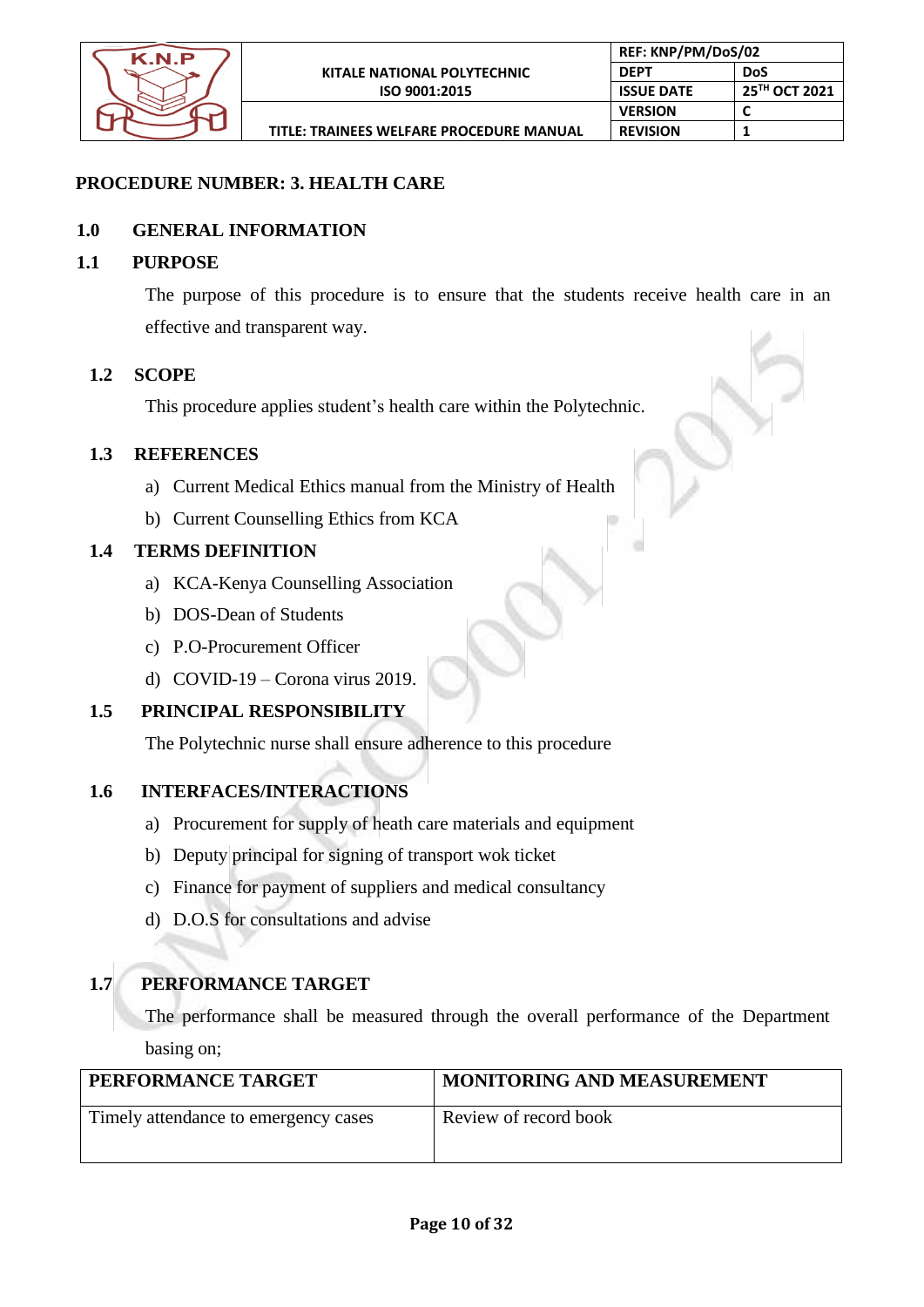

ö

# **PROCEDURE NUMBER: 3. HEALTH CARE**

# **1.0 GENERAL INFORMATION**

#### **1.1 PURPOSE**

The purpose of this procedure is to ensure that the students receive health care in an effective and transparent way.

#### **1.2 SCOPE**

This procedure applies student's health care within the Polytechnic.

# **1.3 REFERENCES**

- a) Current Medical Ethics manual from the Ministry of Health
- b) Current Counselling Ethics from KCA

# **1.4 TERMS DEFINITION**

- a) KCA-Kenya Counselling Association
- b) DOS-Dean of Students
- c) P.O-Procurement Officer
- d) COVID-19 Corona virus 2019.

# **1.5 PRINCIPAL RESPONSIBILITY**

The Polytechnic nurse shall ensure adherence to this procedure

#### **1.6 INTERFACES/INTERACTIONS**

- a) Procurement for supply of heath care materials and equipment
- b) Deputy principal for signing of transport wok ticket
- c) Finance for payment of suppliers and medical consultancy
- d) D.O.S for consultations and advise

# **1.7 PERFORMANCE TARGET**

The performance shall be measured through the overall performance of the Department basing on;

| PERFORMANCE TARGET                   | <b>MONITORING AND MEASUREMENT</b> |
|--------------------------------------|-----------------------------------|
| Timely attendance to emergency cases | Review of record book             |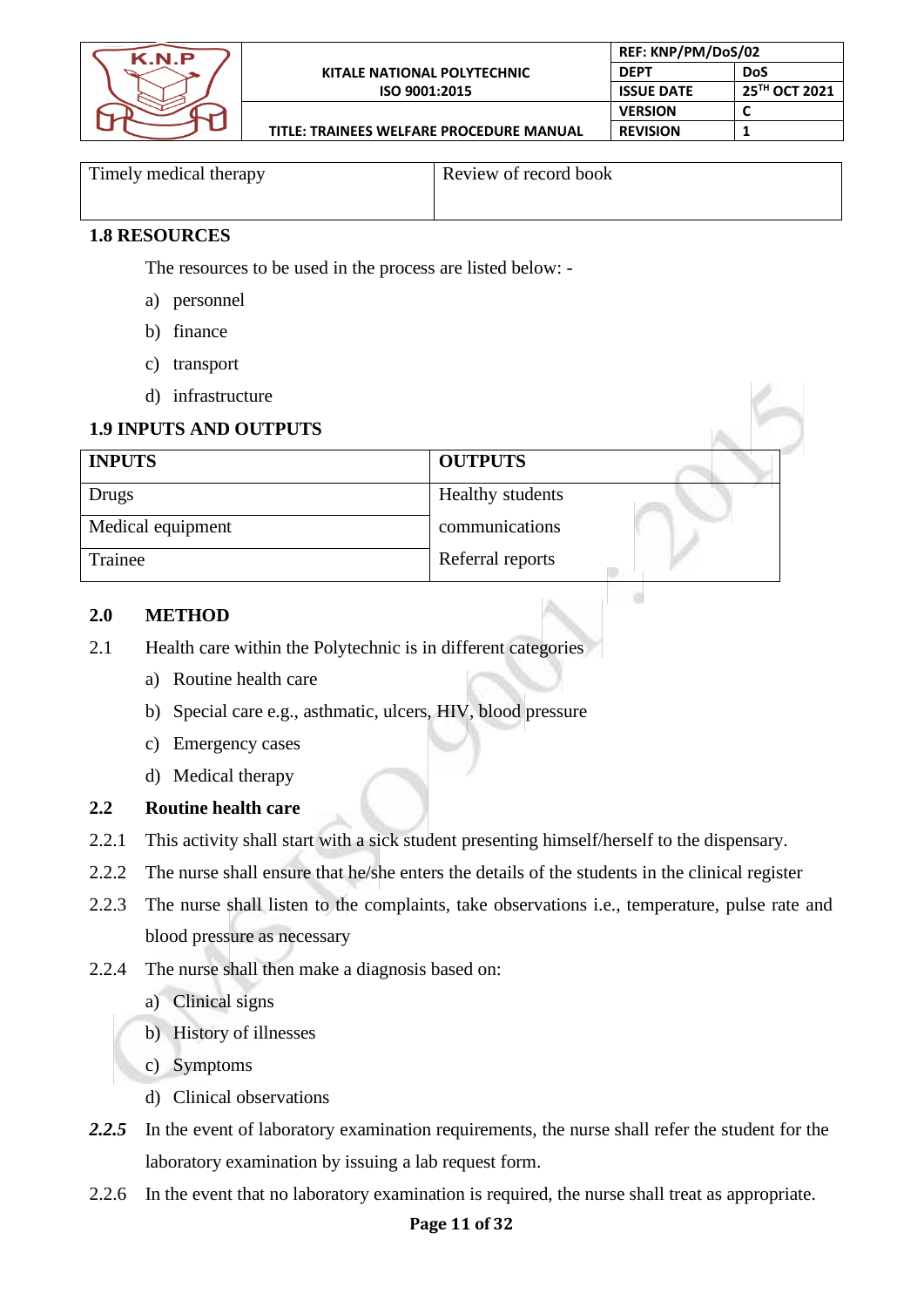

**TITLE: TRAINEES WELFARE PROCEDURE MANUAL**

Timely medical therapy Review of record book

**REF: KNP/PM/DoS/02 DEPT DoS**

**REVISION 1**

**VERSION** 

ö

**ISSUE DATE 25<sup>TH</sup> OCT 2021**<br>**VERSION C** 

# **1.8 RESOURCES**

The resources to be used in the process are listed below: -

- a) personnel
- b) finance
- c) transport
- d) infrastructure

# **1.9 INPUTS AND OUTPUTS**

| <b>INPUTS</b>     | <b>OUTPUTS</b>          |  |
|-------------------|-------------------------|--|
| Drugs             | <b>Healthy students</b> |  |
| Medical equipment | communications          |  |
| Trainee           | Referral reports        |  |

#### **2.0 METHOD**

- 2.1 Health care within the Polytechnic is in different categories
	- a) Routine health care
	- b) Special care e.g., asthmatic, ulcers, HIV, blood pressure
	- c) Emergency cases
	- d) Medical therapy

# **2.2 Routine health care**

- 2.2.1 This activity shall start with a sick student presenting himself/herself to the dispensary.
- 2.2.2 The nurse shall ensure that he/she enters the details of the students in the clinical register
- 2.2.3 The nurse shall listen to the complaints, take observations i.e., temperature, pulse rate and blood pressure as necessary
- 2.2.4 The nurse shall then make a diagnosis based on:
	- a) Clinical signs
	- b) History of illnesses
	- c) Symptoms
	- d) Clinical observations
- *2.2.5* In the event of laboratory examination requirements, the nurse shall refer the student for the laboratory examination by issuing a lab request form.
- 2.2.6 In the event that no laboratory examination is required, the nurse shall treat as appropriate.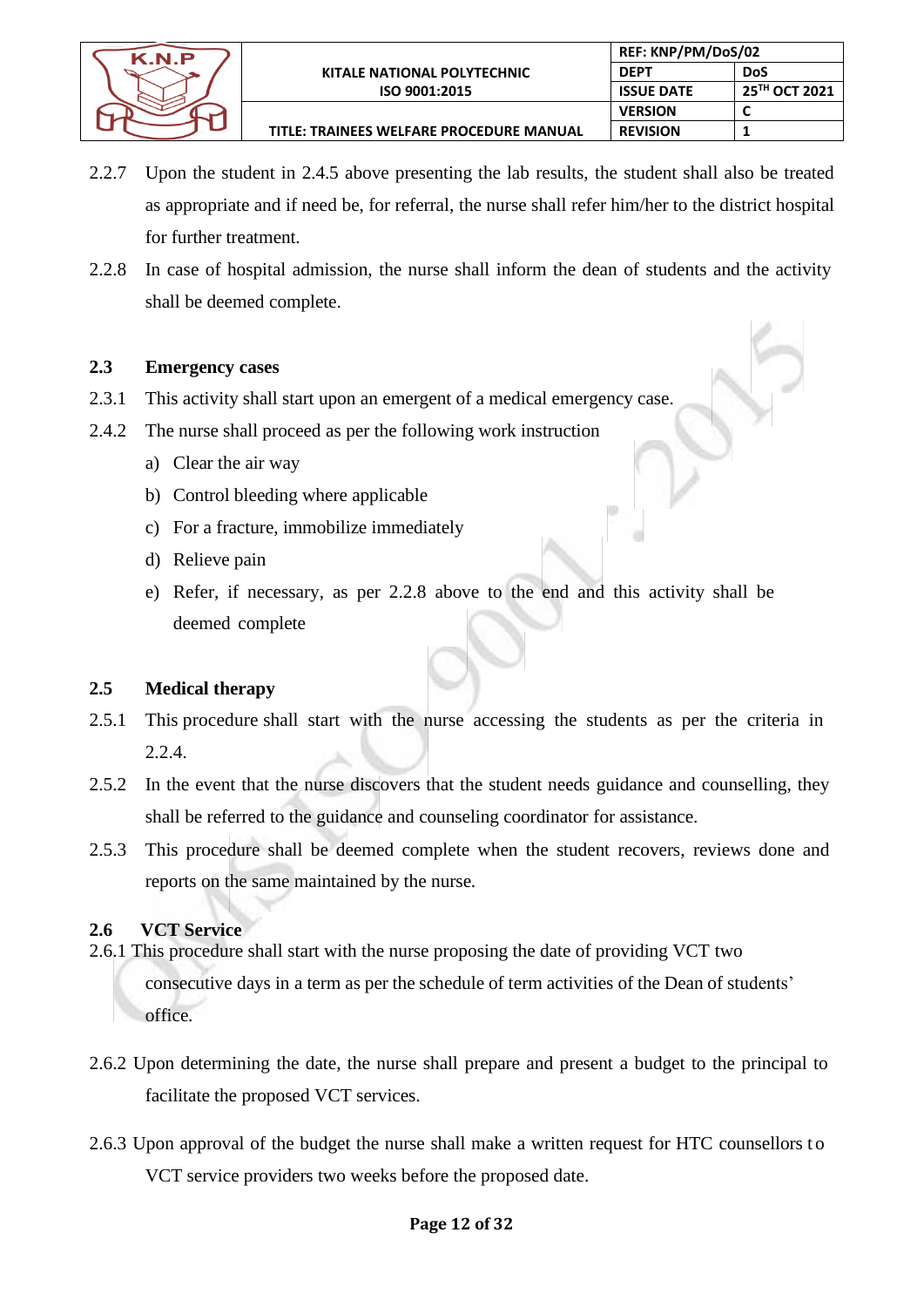

- 2.2.7 Upon the student in 2.4.5 above presenting the lab results, the student shall also be treated as appropriate and if need be, for referral, the nurse shall refer him/her to the district hospital for further treatment.
- 2.2.8 In case of hospital admission, the nurse shall inform the dean of students and the activity shall be deemed complete.

# **2.3 Emergency cases**

- 2.3.1 This activity shall start upon an emergent of a medical emergency case.
- 2.4.2 The nurse shall proceed as per the following work instruction
	- a) Clear the air way
	- b) Control bleeding where applicable
	- c) For a fracture, immobilize immediately
	- d) Relieve pain
	- e) Refer, if necessary, as per 2.2.8 above to the end and this activity shall be deemed complete

# **2.5 Medical therapy**

- 2.5.1 This procedure shall start with the nurse accessing the students as per the criteria in 2.2.4.
- 2.5.2 In the event that the nurse discovers that the student needs guidance and counselling, they shall be referred to the guidance and counseling coordinator for assistance.
- 2.5.3 This procedure shall be deemed complete when the student recovers, reviews done and reports on the same maintained by the nurse.

# **2.6 VCT Service**

- 2.6.1 This procedure shall start with the nurse proposing the date of providing VCT two consecutive days in a term as per the schedule of term activities of the Dean of students' office.
- 2.6.2 Upon determining the date, the nurse shall prepare and present a budget to the principal to facilitate the proposed VCT services.
- 2.6.3 Upon approval of the budget the nurse shall make a written request for HTC counsellors to VCT service providers two weeks before the proposed date.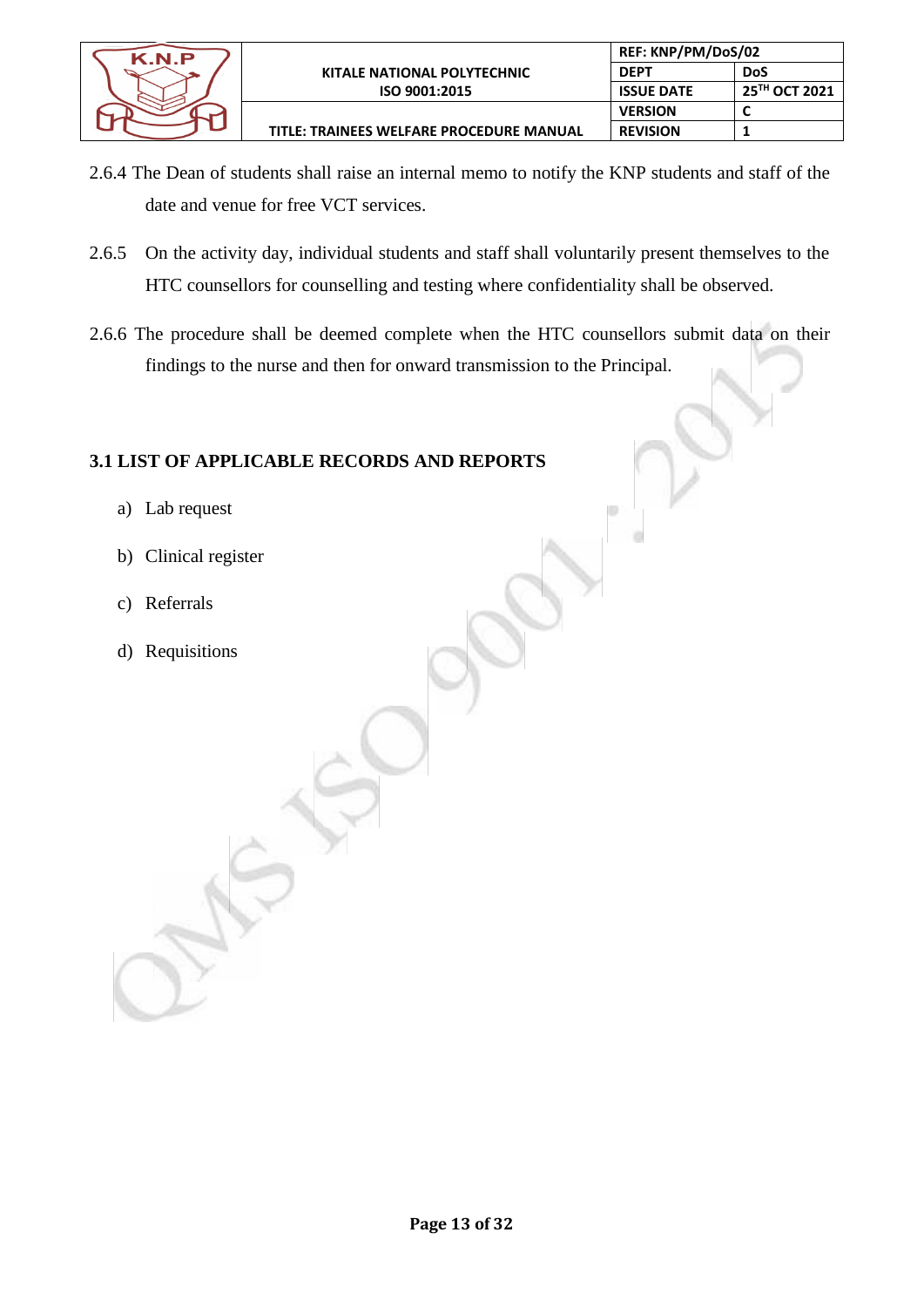

- 2.6.4 The Dean of students shall raise an internal memo to notify the KNP students and staff of the date and venue for free VCT services.
- 2.6.5 On the activity day, individual students and staff shall voluntarily present themselves to the HTC counsellors for counselling and testing where confidentiality shall be observed.
- 2.6.6 The procedure shall be deemed complete when the HTC counsellors submit data on their findings to the nurse and then for onward transmission to the Principal.

# **3.1 LIST OF APPLICABLE RECORDS AND REPORTS**

- a) Lab request
- b) Clinical register
- c) Referrals
- d) Requisitions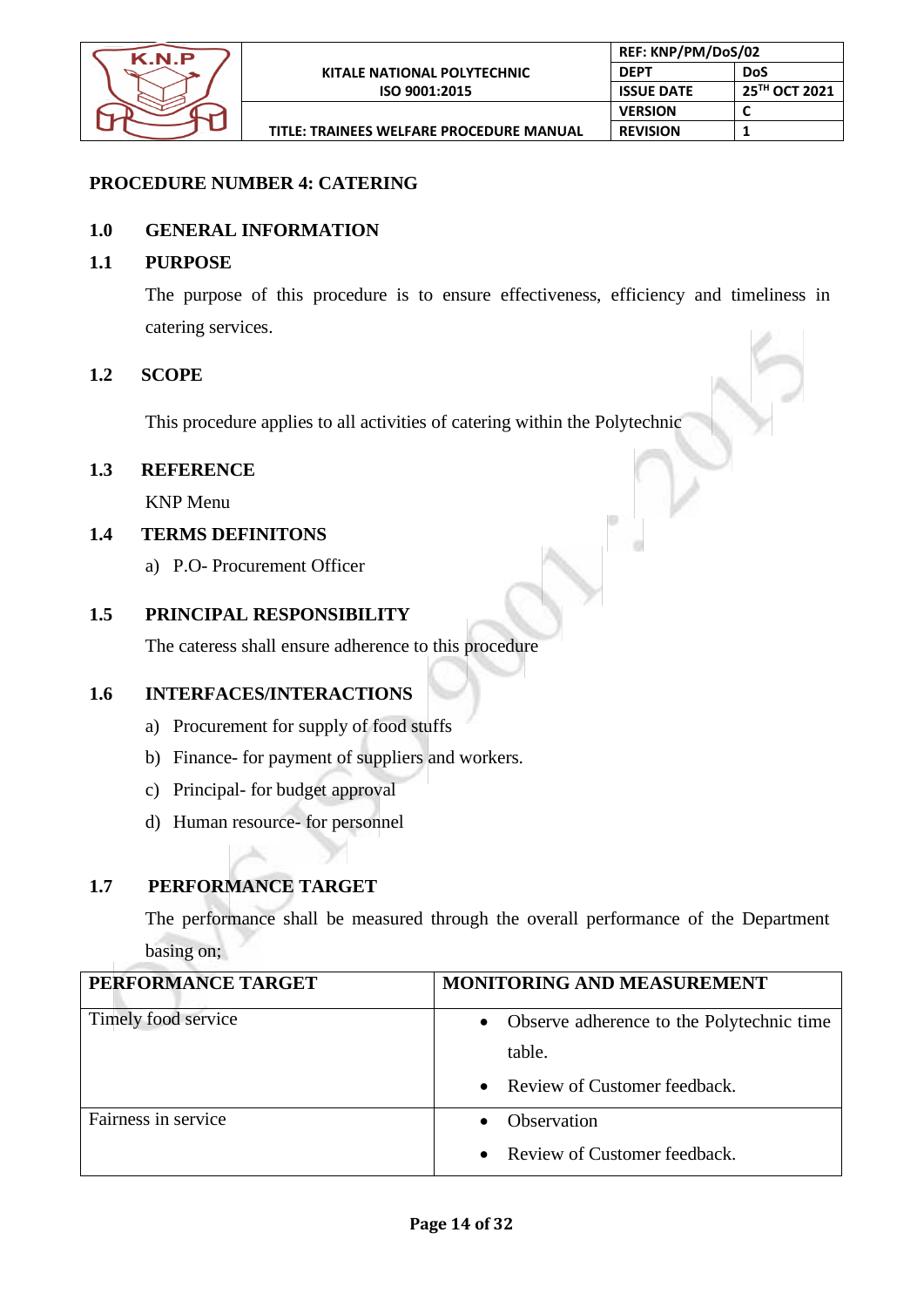

# **PROCEDURE NUMBER 4: CATERING**

# **1.0 GENERAL INFORMATION**

#### **1.1 PURPOSE**

The purpose of this procedure is to ensure effectiveness, efficiency and timeliness in catering services.

#### **1.2 SCOPE**

This procedure applies to all activities of catering within the Polytechnic

# **1.3 REFERENCE**

KNP Menu

# **1.4 TERMS DEFINITONS**

a) P.O- Procurement Officer

# **1.5 PRINCIPAL RESPONSIBILITY**

The cateress shall ensure adherence to this procedure

# **1.6 INTERFACES/INTERACTIONS**

- a) Procurement for supply of food stuffs
- b) Finance- for payment of suppliers and workers.
- c) Principal- for budget approval
- d) Human resource- for personnel

# **1.7 PERFORMANCE TARGET**

The performance shall be measured through the overall performance of the Department basing on;

| PERFORMANCE TARGET  | <b>MONITORING AND MEASUREMENT</b>           |
|---------------------|---------------------------------------------|
| Timely food service | • Observe adherence to the Polytechnic time |
|                     | table.                                      |
|                     | • Review of Customer feedback.              |
| Fairness in service | <b>Observation</b>                          |
|                     | Review of Customer feedback.<br>$\bullet$   |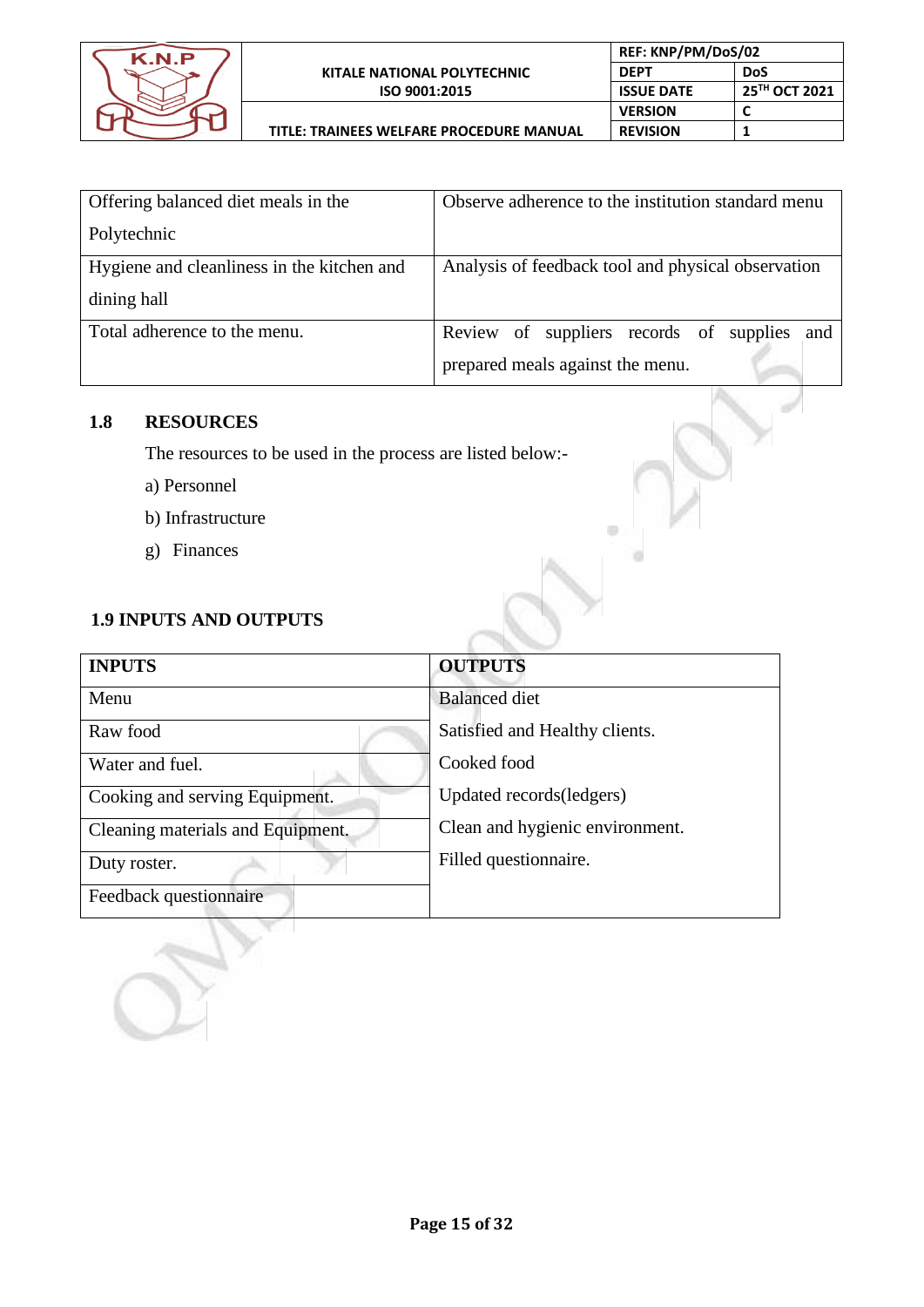

 $\qquad \qquad \qquad \qquad \qquad$ 

 $\circ$ 

| Offering balanced diet meals in the        | Observe adherence to the institution standard menu |
|--------------------------------------------|----------------------------------------------------|
| Polytechnic                                |                                                    |
| Hygiene and cleanliness in the kitchen and | Analysis of feedback tool and physical observation |
| dining hall                                |                                                    |
| Total adherence to the menu.               | Review of suppliers records of supplies and        |
|                                            | prepared meals against the menu.                   |

# **1.8 RESOURCES**

The resources to be used in the process are listed below:-

- a) Personnel
- b) Infrastructure
- g) Finances

# **1.9 INPUTS AND OUTPUTS**

| <b>INPUTS</b>                     | <b>OUTPUTS</b>                  |
|-----------------------------------|---------------------------------|
| Menu                              | <b>Balanced</b> diet            |
| Raw food                          | Satisfied and Healthy clients.  |
| Water and fuel.                   | Cooked food                     |
| Cooking and serving Equipment.    | Updated records (ledgers)       |
| Cleaning materials and Equipment. | Clean and hygienic environment. |
| Duty roster.                      | Filled questionnaire.           |
| Feedback questionnaire            |                                 |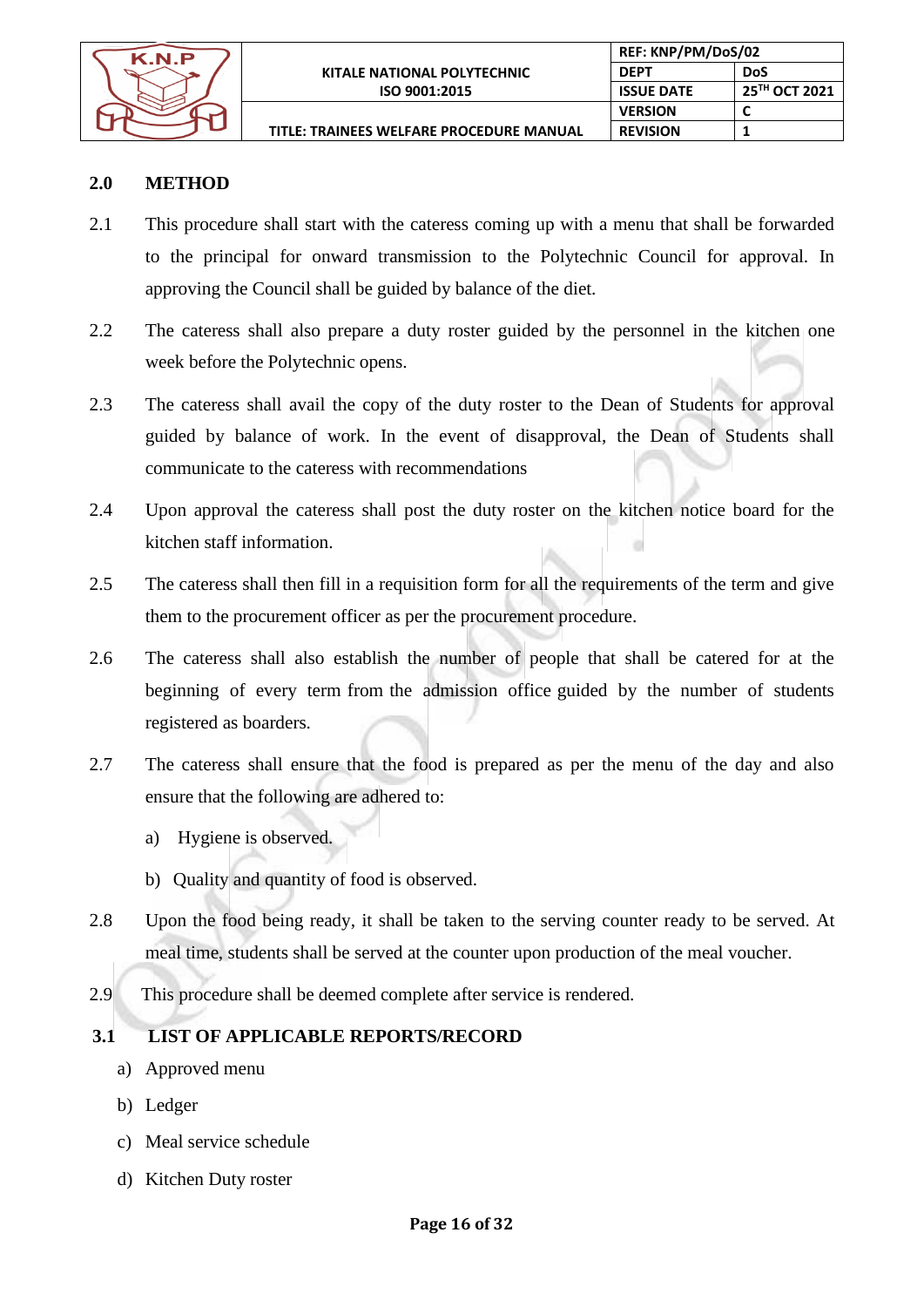

#### **2.0 METHOD**

- 2.1 This procedure shall start with the cateress coming up with a menu that shall be forwarded to the principal for onward transmission to the Polytechnic Council for approval. In approving the Council shall be guided by balance of the diet.
- 2.2 The cateress shall also prepare a duty roster guided by the personnel in the kitchen one week before the Polytechnic opens.
- 2.3 The cateress shall avail the copy of the duty roster to the Dean of Students for approval guided by balance of work. In the event of disapproval, the Dean of Students shall communicate to the cateress with recommendations
- 2.4 Upon approval the cateress shall post the duty roster on the kitchen notice board for the kitchen staff information.
- 2.5 The cateress shall then fill in a requisition form for all the requirements of the term and give them to the procurement officer as per the procurement procedure.
- 2.6 The cateress shall also establish the number of people that shall be catered for at the beginning of every term from the admission office guided by the number of students registered as boarders.
- 2.7 The cateress shall ensure that the food is prepared as per the menu of the day and also ensure that the following are adhered to:
	- a) Hygiene is observed.
	- b) Quality and quantity of food is observed.
- 2.8 Upon the food being ready, it shall be taken to the serving counter ready to be served. At meal time, students shall be served at the counter upon production of the meal voucher.
- 2.9 This procedure shall be deemed complete after service is rendered.

# **3.1 LIST OF APPLICABLE REPORTS/RECORD**

- a) Approved menu
- b) Ledger
- c) Meal service schedule
- d) Kitchen Duty roster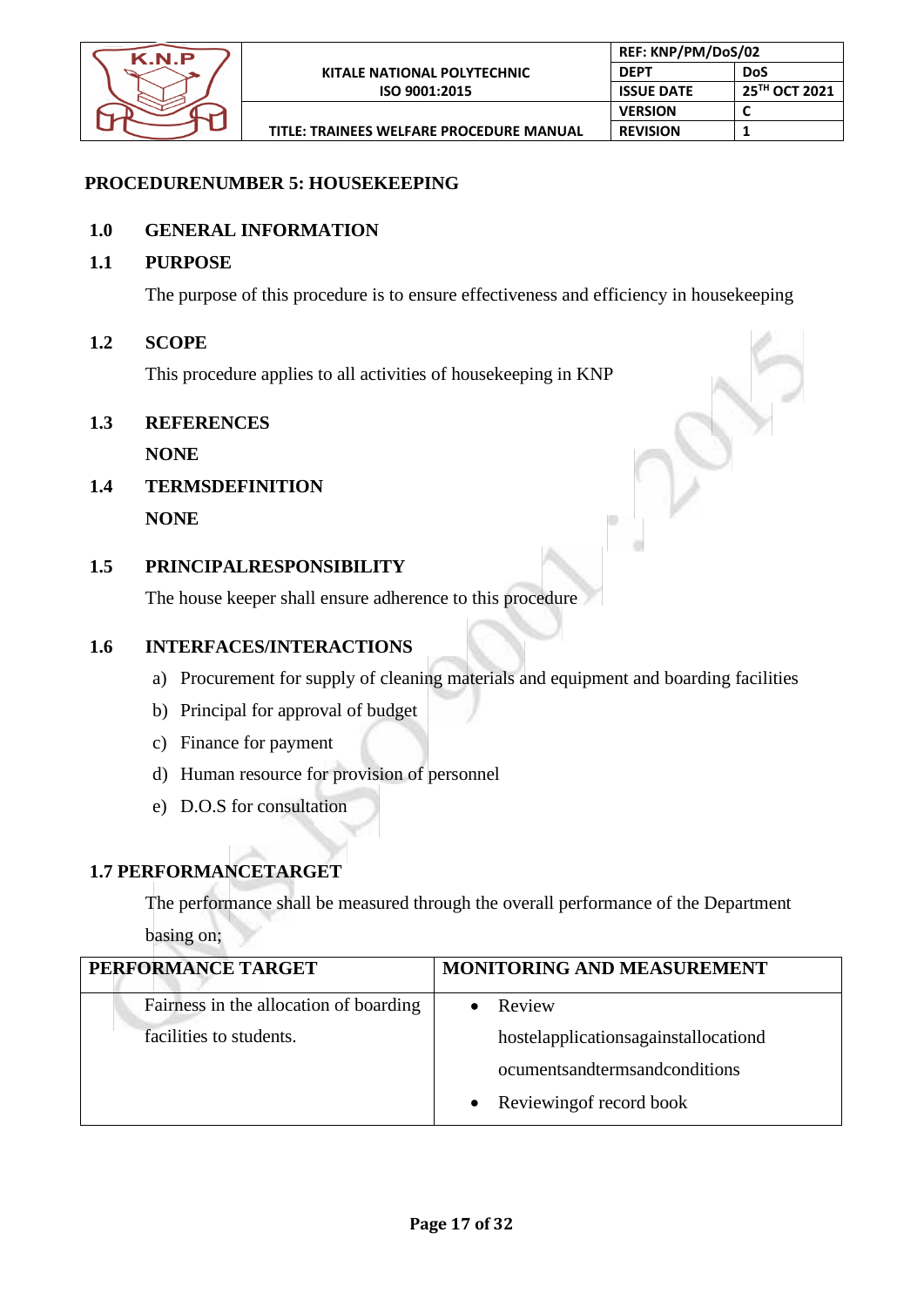

# **PROCEDURENUMBER 5: HOUSEKEEPING**

# **1.0 GENERAL INFORMATION**

#### **1.1 PURPOSE**

The purpose of this procedure is to ensure effectiveness and efficiency in housekeeping

#### **1.2 SCOPE**

This procedure applies to all activities of housekeeping in KNP

#### **1.3 REFERENCES**

**NONE**

**1.4 TERMSDEFINITION**

**NONE**

# **1.5 PRINCIPALRESPONSIBILITY**

The house keeper shall ensure adherence to this procedure

# **1.6 INTERFACES/INTERACTIONS**

- a) Procurement for supply of cleaning materials and equipment and boarding facilities
- b) Principal for approval of budget
- c) Finance for payment
- d) Human resource for provision of personnel
- e) D.O.S for consultation

# **1.7 PERFORMANCETARGET**

The performance shall be measured through the overall performance of the Department

basing on;

| PERFORMANCE TARGET                     | MONITORING AND MEASUREMENT           |
|----------------------------------------|--------------------------------------|
| Fairness in the allocation of boarding | Review                               |
| facilities to students.                | hostelapplicationsagainstallocationd |
|                                        | ocuments and terms and conditions    |
|                                        | • Reviewing of record book           |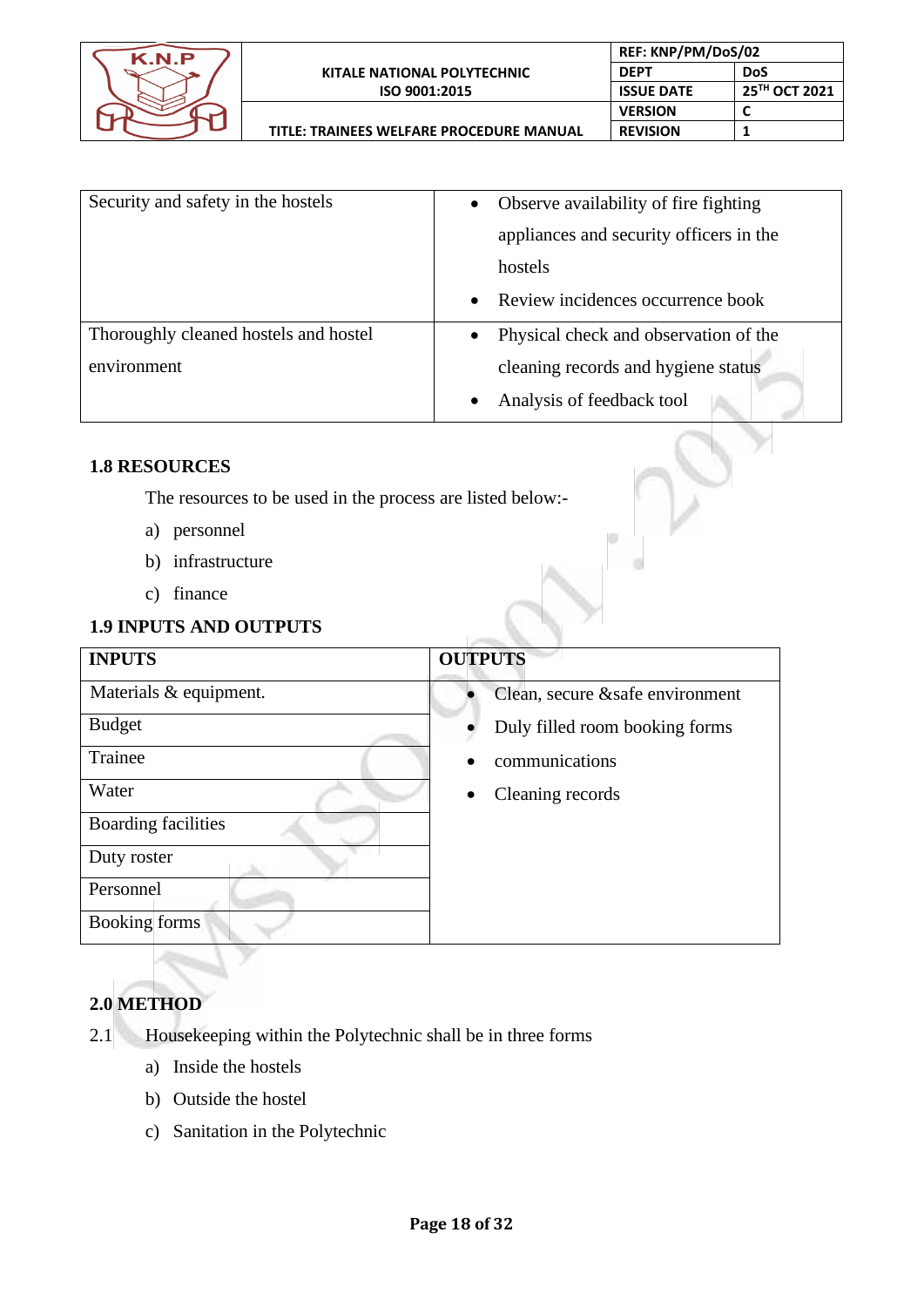

**TITLE: TRAINEES WELFARE PROCEDURE MANUAL**

 $\qquad \qquad \qquad \qquad \Box$ 

 $\circ$ 

| Security and safety in the hostels    | Observe availability of fire fighting<br>$\bullet$ |
|---------------------------------------|----------------------------------------------------|
|                                       | appliances and security officers in the            |
|                                       | hostels                                            |
|                                       | Review incidences occurrence book<br>$\bullet$     |
| Thoroughly cleaned hostels and hostel | Physical check and observation of the<br>$\bullet$ |
| environment                           | cleaning records and hygiene status                |
|                                       | Analysis of feedback tool                          |

# **1.8 RESOURCES**

The resources to be used in the process are listed below:-

- a) personnel
- b) infrastructure
- c) finance

# **1.9 INPUTS AND OUTPUTS**

| <b>INPUTS</b>              | <b>OUTPUTS</b>                   |
|----------------------------|----------------------------------|
| Materials & equipment.     | Clean, secure & safe environment |
| <b>Budget</b>              | Duly filled room booking forms   |
| Trainee                    | communications                   |
| Water                      | Cleaning records<br>$\bullet$    |
| <b>Boarding facilities</b> |                                  |
| Duty roster                |                                  |
| Personnel                  |                                  |
| <b>Booking forms</b>       |                                  |

# **2.0 METHOD**

- 2.1 Housekeeping within the Polytechnic shall be in three forms
	- a) Inside the hostels
	- b) Outside the hostel
	- c) Sanitation in the Polytechnic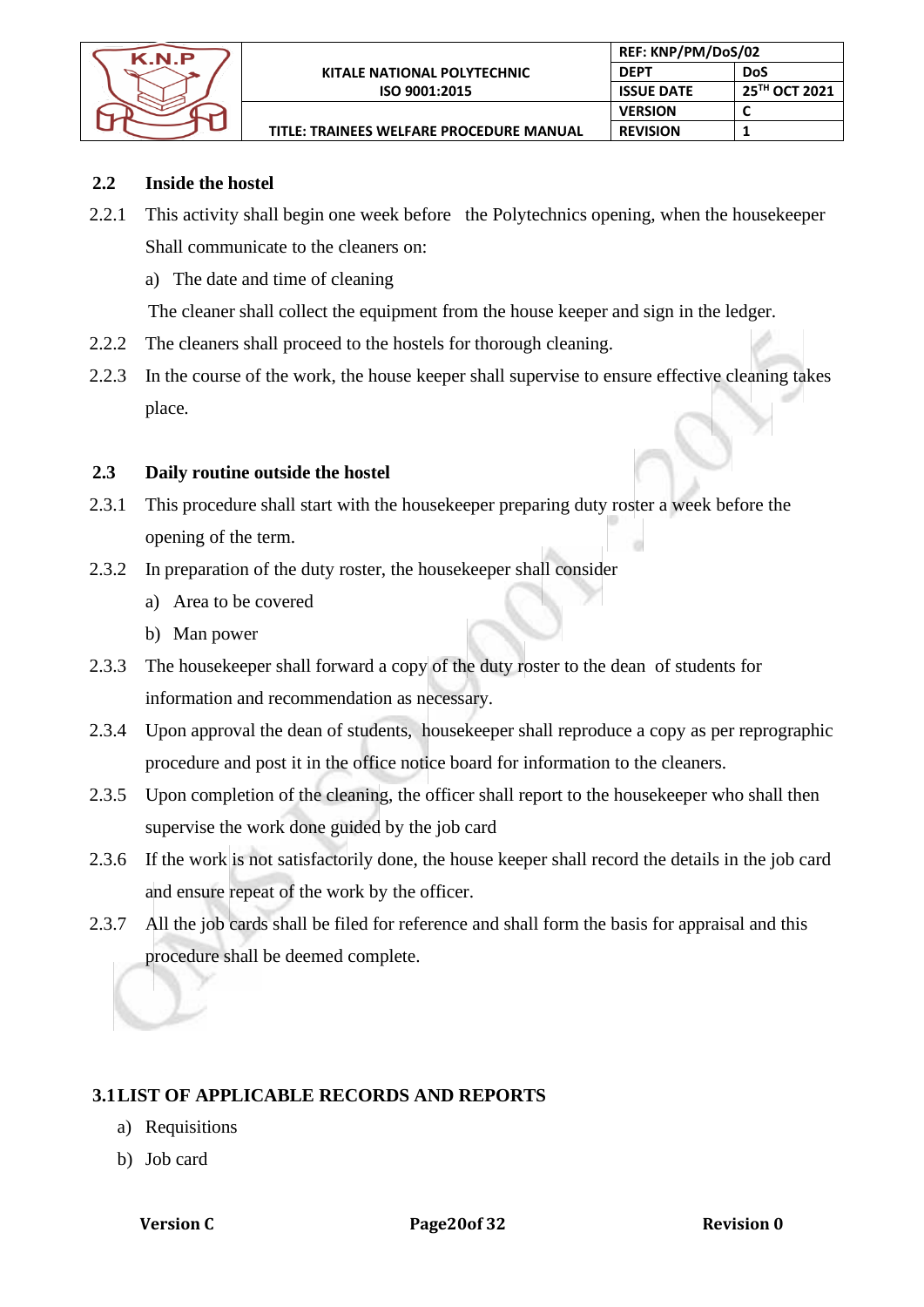

**TITLE: TRAINEES WELFARE PROCEDURE MANUAL**

# **2.2 Inside the hostel**

2.2.1 This activity shall begin one week before the Polytechnics opening, when the housekeeper Shall communicate to the cleaners on:

**REF: KNP/PM/DoS/02 DEPT DoS**

**VERSION C REVISION 1**

**ISSUE DATE 25TH OCT 2021**

a) The date and time of cleaning

The cleaner shall collect the equipment from the house keeper and sign in the ledger.

- 2.2.2 The cleaners shall proceed to the hostels for thorough cleaning.
- 2.2.3 In the course of the work, the house keeper shall supervise to ensure effective cleaning takes place.

# **2.3 Daily routine outside the hostel**

- 2.3.1 This procedure shall start with the housekeeper preparing duty roster a week before the opening of the term.
- 2.3.2 In preparation of the duty roster, the housekeeper shall consider
	- a) Area to be covered
	- b) Man power
- 2.3.3 The housekeeper shall forward a copy of the duty roster to the dean of students for information and recommendation as necessary.
- 2.3.4 Upon approval the dean of students, housekeeper shall reproduce a copy as per reprographic procedure and post it in the office notice board for information to the cleaners.
- 2.3.5 Upon completion of the cleaning, the officer shall report to the housekeeper who shall then supervise the work done guided by the job card
- 2.3.6 If the work is not satisfactorily done, the house keeper shall record the details in the job card and ensure repeat of the work by the officer.
- 2.3.7 All the job cards shall be filed for reference and shall form the basis for appraisal and this procedure shall be deemed complete.

# **3.1LIST OF APPLICABLE RECORDS AND REPORTS**

- a) Requisitions
- b) Job card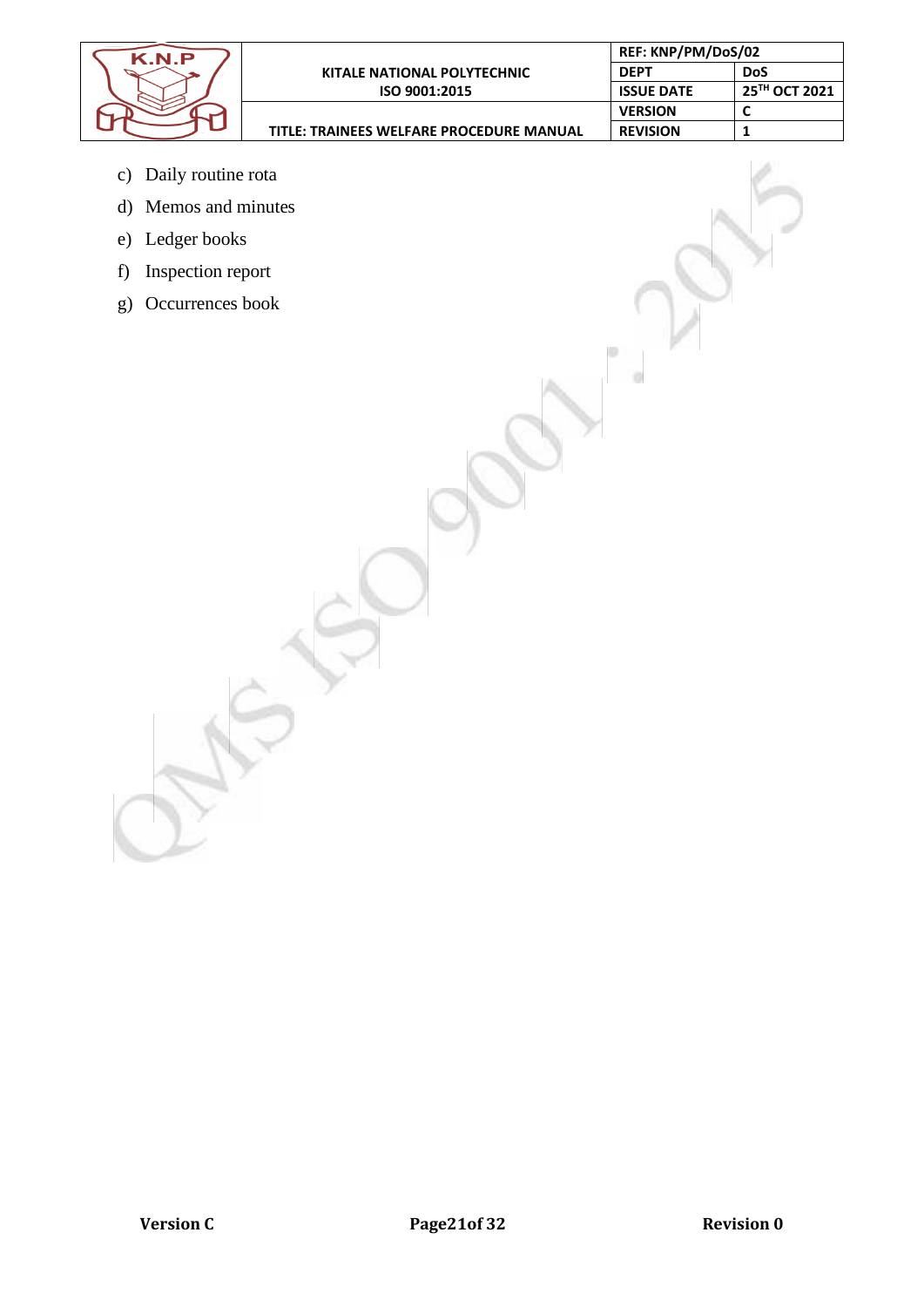| K.N.P |                                                 | REF: KNP/PM/DoS/02 |               |
|-------|-------------------------------------------------|--------------------|---------------|
|       | KITALE NATIONAL POLYTECHNIC                     | <b>DEPT</b>        | DoS           |
|       | ISO 9001:2015                                   | <b>ISSUE DATE</b>  | 25TH OCT 2021 |
|       |                                                 | <b>VERSION</b>     |               |
|       | <b>TITLE: TRAINEES WELFARE PROCEDURE MANUAL</b> | <b>REVISION</b>    |               |
|       |                                                 |                    |               |
|       |                                                 |                    |               |

 $\hfill$ 

 $\overline{O}$ 

- c) Daily routine rota
- d) Memos and minutes
- e) Ledger books
- f) Inspection report
- g) Occurrences book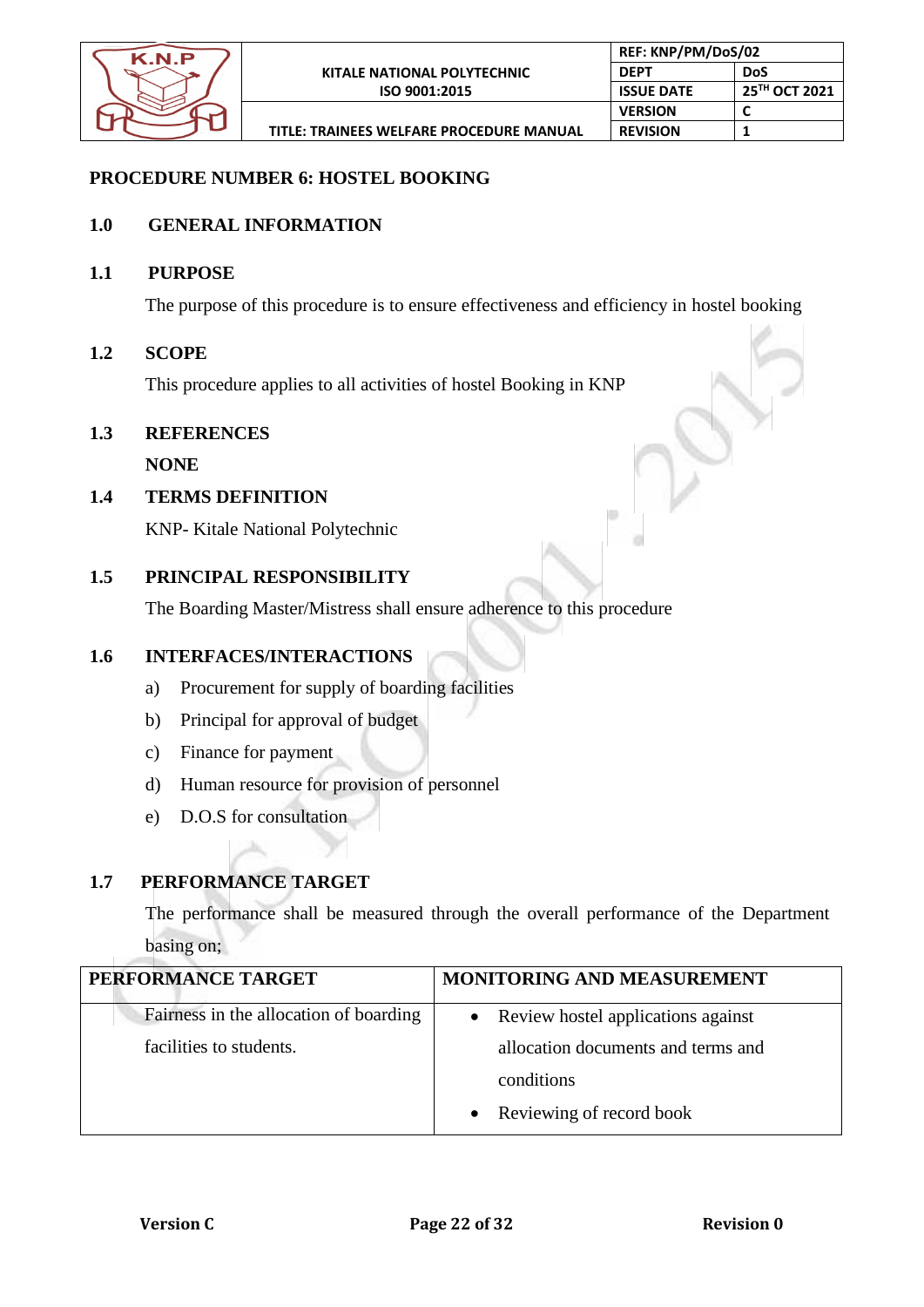

# **PROCEDURE NUMBER 6: HOSTEL BOOKING**

#### **1.0 GENERAL INFORMATION**

#### **1.1 PURPOSE**

The purpose of this procedure is to ensure effectiveness and efficiency in hostel booking

#### **1.2 SCOPE**

This procedure applies to all activities of hostel Booking in KNP

#### **1.3 REFERENCES**

**NONE**

#### **1.4 TERMS DEFINITION**

KNP- Kitale National Polytechnic

#### **1.5 PRINCIPAL RESPONSIBILITY**

The Boarding Master/Mistress shall ensure adherence to this procedure

# **1.6 INTERFACES/INTERACTIONS**

- a) Procurement for supply of boarding facilities
- b) Principal for approval of budget
- c) Finance for payment
- d) Human resource for provision of personnel
- e) D.O.S for consultation

 $\Delta \omega$ 

# **1.7 PERFORMANCE TARGET**

The performance shall be measured through the overall performance of the Department basing on;

| PERFORMANCE TARGET                     | <b>MONITORING AND MEASUREMENT</b>    |
|----------------------------------------|--------------------------------------|
| Fairness in the allocation of boarding | • Review hostel applications against |
| facilities to students.                | allocation documents and terms and   |
|                                        | conditions                           |
|                                        | • Reviewing of record book           |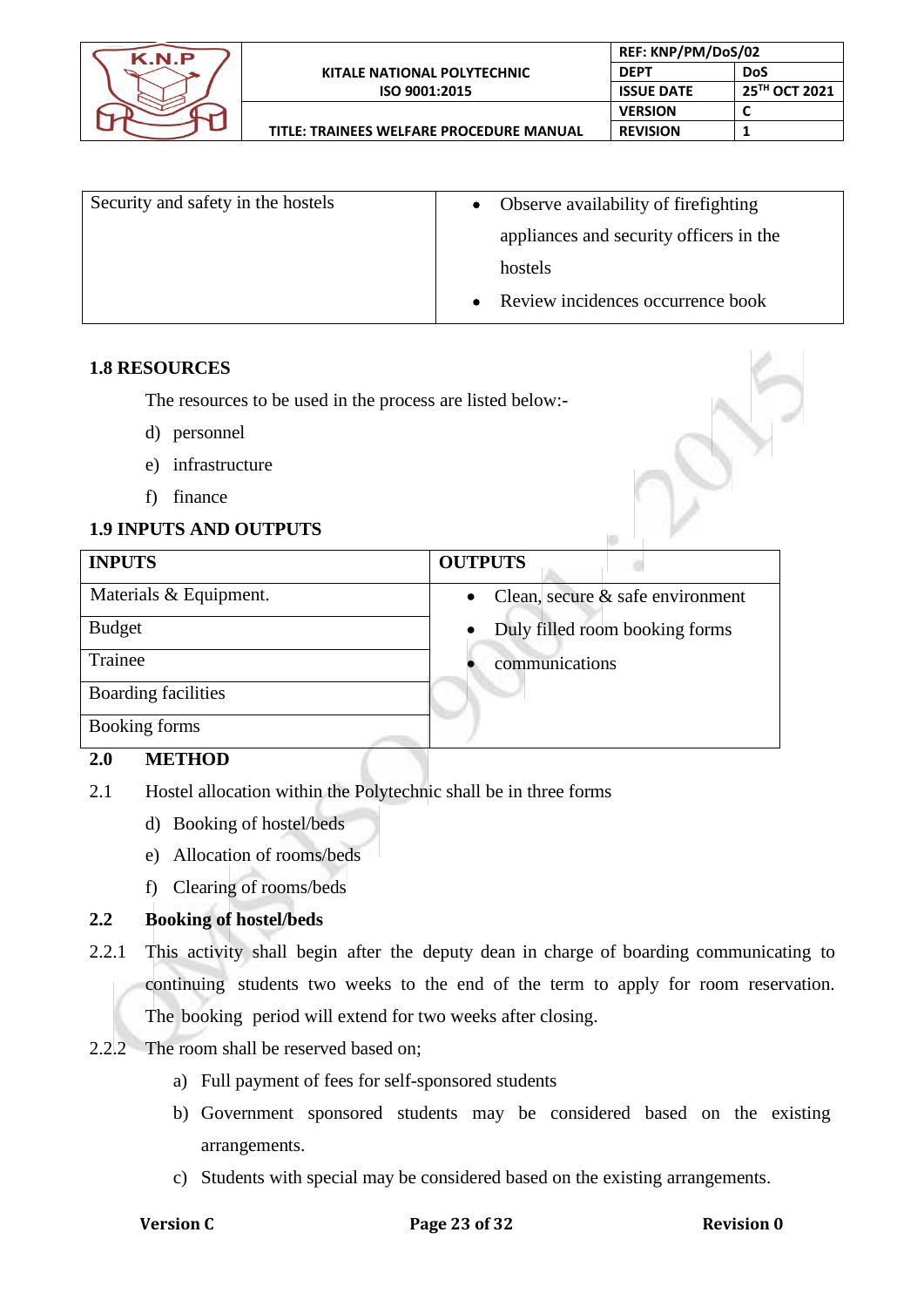

| Security and safety in the hostels | • Observe availability of fire fighting        |  |
|------------------------------------|------------------------------------------------|--|
|                                    | appliances and security officers in the        |  |
|                                    | hostels                                        |  |
|                                    | Review incidences occurrence book<br>$\bullet$ |  |

#### **1.8 RESOURCES**

The resources to be used in the process are listed below:-

- d) personnel
- e) infrastructure
- f) finance

# **1.9 INPUTS AND OUTPUTS**

| <b>INPUTS</b>          | <b>OUTPUTS</b>                                   |
|------------------------|--------------------------------------------------|
| Materials & Equipment. | Clean, secure $\&$ safe environment<br>$\bullet$ |
| <b>Budget</b>          | Duly filled room booking forms<br>$\bullet$      |
| Trainee                | communications                                   |
| Boarding facilities    |                                                  |
| Booking forms          |                                                  |
|                        |                                                  |

# **2.0 METHOD**

- 2.1 Hostel allocation within the Polytechnic shall be in three forms
	- d) Booking of hostel/beds
	- e) Allocation of rooms/beds
	- f) Clearing of rooms/beds

# **2.2 Booking of hostel/beds**

- 2.2.1 This activity shall begin after the deputy dean in charge of boarding communicating to continuing students two weeks to the end of the term to apply for room reservation. The booking period will extend for two weeks after closing.
- 2.2.2 The room shall be reserved based on;
	- a) Full payment of fees for self-sponsored students
	- b) Government sponsored students may be considered based on the existing arrangements.
	- c) Students with special may be considered based on the existing arrangements.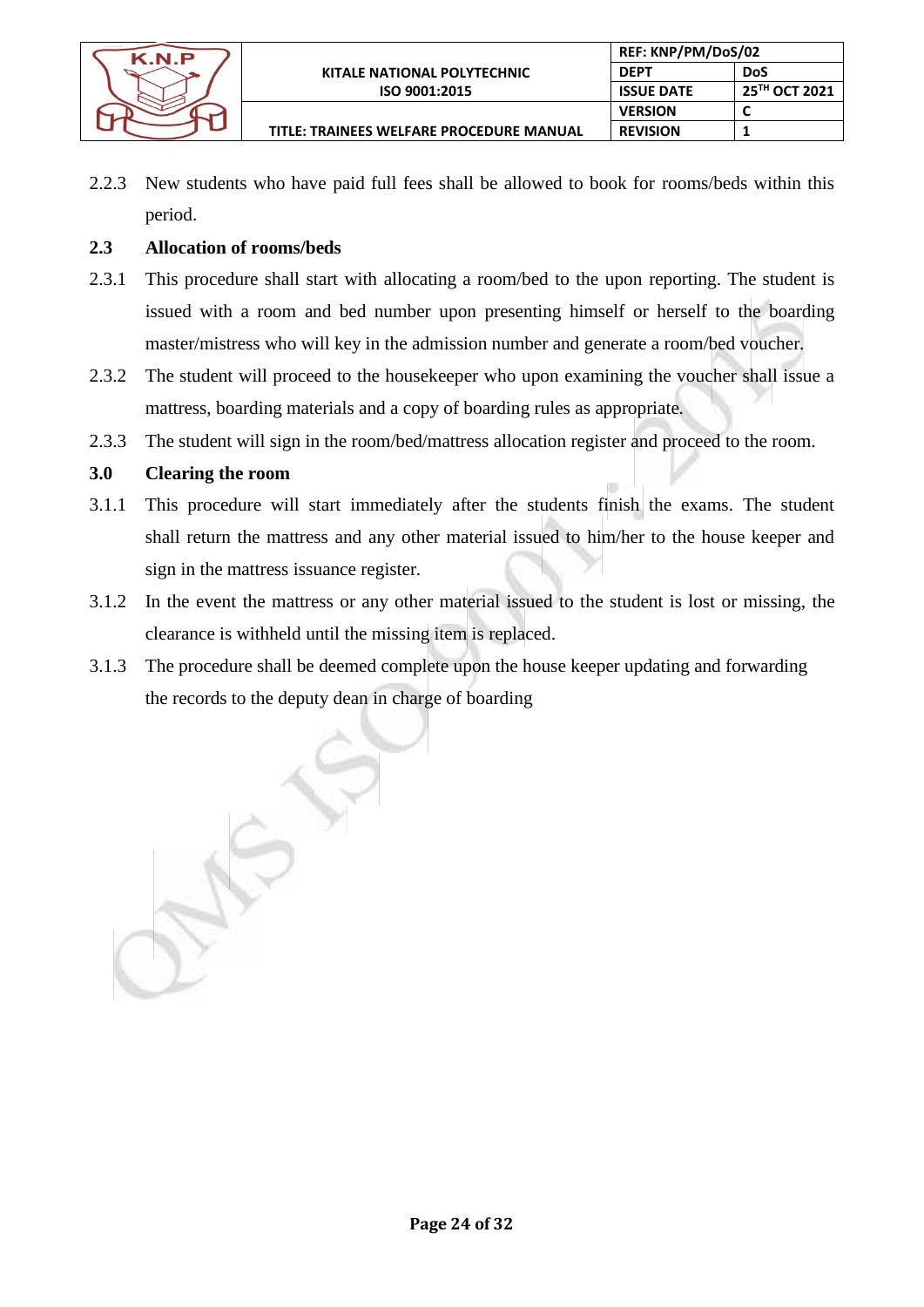

**TITLE: TRAINEES WELFARE PROCEDURE MANUAL**

2.2.3 New students who have paid full fees shall be allowed to book for rooms/beds within this period.

**REF: KNP/PM/DoS/02 DEPT DoS**

**REVISION 1**

**VERSION C**

**ISSUE DATE 25<sup>TH</sup> OCT 2021**<br>**VERSION C** 

# **2.3 Allocation of rooms/beds**

- 2.3.1 This procedure shall start with allocating a room/bed to the upon reporting. The student is issued with a room and bed number upon presenting himself or herself to the boarding master/mistress who will key in the admission number and generate a room/bed voucher.
- 2.3.2 The student will proceed to the housekeeper who upon examining the voucher shall issue a mattress, boarding materials and a copy of boarding rules as appropriate.
- 2.3.3 The student will sign in the room/bed/mattress allocation register and proceed to the room.

# **3.0 Clearing the room**

- 3.1.1 This procedure will start immediately after the students finish the exams. The student shall return the mattress and any other material issued to him/her to the house keeper and sign in the mattress issuance register.
- 3.1.2 In the event the mattress or any other material issued to the student is lost or missing, the clearance is withheld until the missing item is replaced.
- 3.1.3 The procedure shall be deemed complete upon the house keeper updating and forwarding the records to the deputy dean in charge of boarding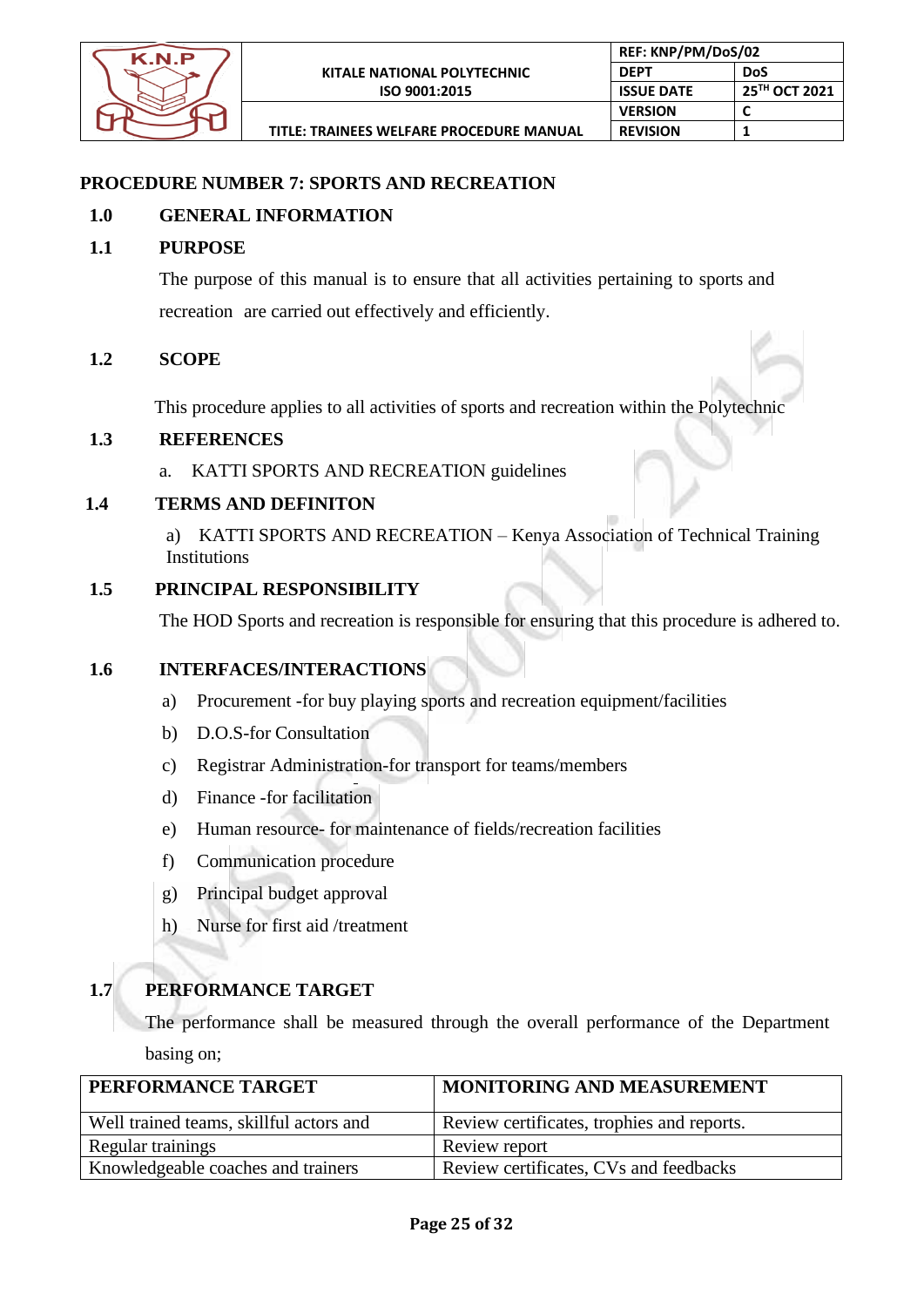

# **PROCEDURE NUMBER 7: SPORTS AND RECREATION**

# **1.0 GENERAL INFORMATION**

# **1.1 PURPOSE**

The purpose of this manual is to ensure that all activities pertaining to sports and recreation are carried out effectively and efficiently.

# **1.2 SCOPE**

This procedure applies to all activities of sports and recreation within the Polytechnic

# **1.3 REFERENCES**

a. KATTI SPORTS AND RECREATION guidelines

# **1.4 TERMS AND DEFINITON**

a) KATTI SPORTS AND RECREATION – Kenya Association of Technical Training Institutions

# **1.5 PRINCIPAL RESPONSIBILITY**

The HOD Sports and recreation is responsible for ensuring that this procedure is adhered to.

#### **1.6 INTERFACES/INTERACTIONS**

- a) Procurement -for buy playing sports and recreation equipment/facilities
- b) D.O.S-for Consultation
- c) Registrar Administration-for transport for teams/members
- d) Finance -for facilitation
- e) Human resource- for maintenance of fields/recreation facilities
- f) Communication procedure
- g) Principal budget approval
- h) Nurse for first aid /treatment

# **1.7 PERFORMANCE TARGET**

The performance shall be measured through the overall performance of the Department basing on;

| PERFORMANCE TARGET                      | <b>MONITORING AND MEASUREMENT</b>          |
|-----------------------------------------|--------------------------------------------|
| Well trained teams, skillful actors and | Review certificates, trophies and reports. |
| Regular trainings                       | Review report                              |
| Knowledgeable coaches and trainers      | Review certificates, CVs and feedbacks     |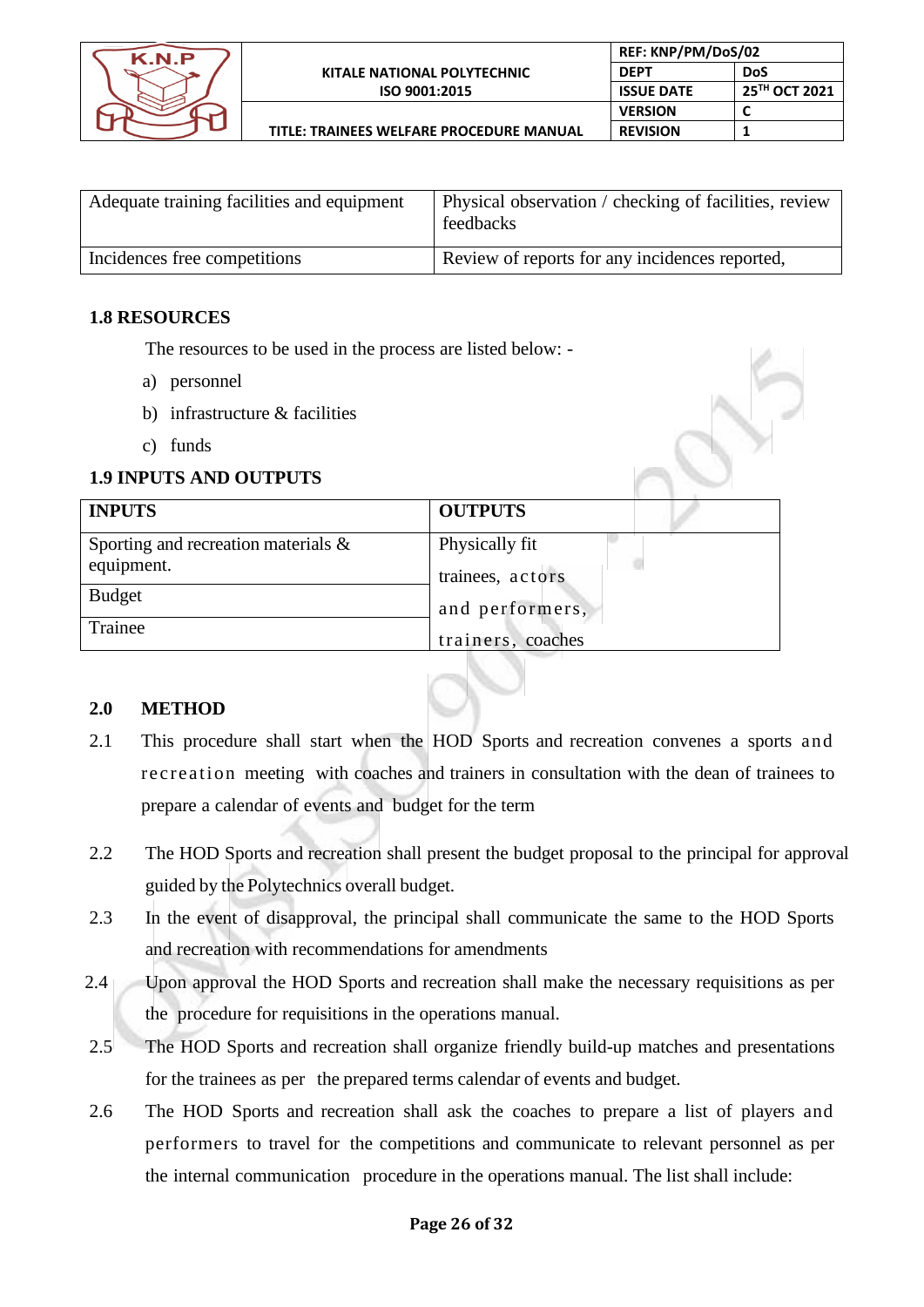

| Adequate training facilities and equipment | Physical observation / checking of facilities, review<br>feedbacks |
|--------------------------------------------|--------------------------------------------------------------------|
| Incidences free competitions               | Review of reports for any incidences reported,                     |

#### **1.8 RESOURCES**

The resources to be used in the process are listed below: -

- a) personnel
- b) infrastructure & facilities
- c) funds

# **1.9 INPUTS AND OUTPUTS**

| <b>INPUTS</b>                          | <b>OUTPUTS</b>    |
|----------------------------------------|-------------------|
| Sporting and recreation materials $\&$ | Physically fit    |
| equipment.                             | trainees, actors  |
| <b>Budget</b>                          | and performers,   |
| Trainee                                | trainers, coaches |

# **2.0 METHOD**

2.1 This procedure shall start when the HOD Sports and recreation convenes a sports and recreation meeting with coaches and trainers in consultation with the dean of trainees to prepare a calendar of events and budget for the term

 $\mathcal{M}$ 

- 2.2 The HOD Sports and recreation shall present the budget proposal to the principal for approval guided by the Polytechnics overall budget.
- 2.3 In the event of disapproval, the principal shall communicate the same to the HOD Sports and recreation with recommendations for amendments
- 2.4 Upon approval the HOD Sports and recreation shall make the necessary requisitions as per the procedure for requisitions in the operations manual.
- 2.5 The HOD Sports and recreation shall organize friendly build-up matches and presentations for the trainees as per the prepared terms calendar of events and budget.
- 2.6 The HOD Sports and recreation shall ask the coaches to prepare a list of players and performers to travel for the competitions and communicate to relevant personnel as per the internal communication procedure in the operations manual. The list shall include: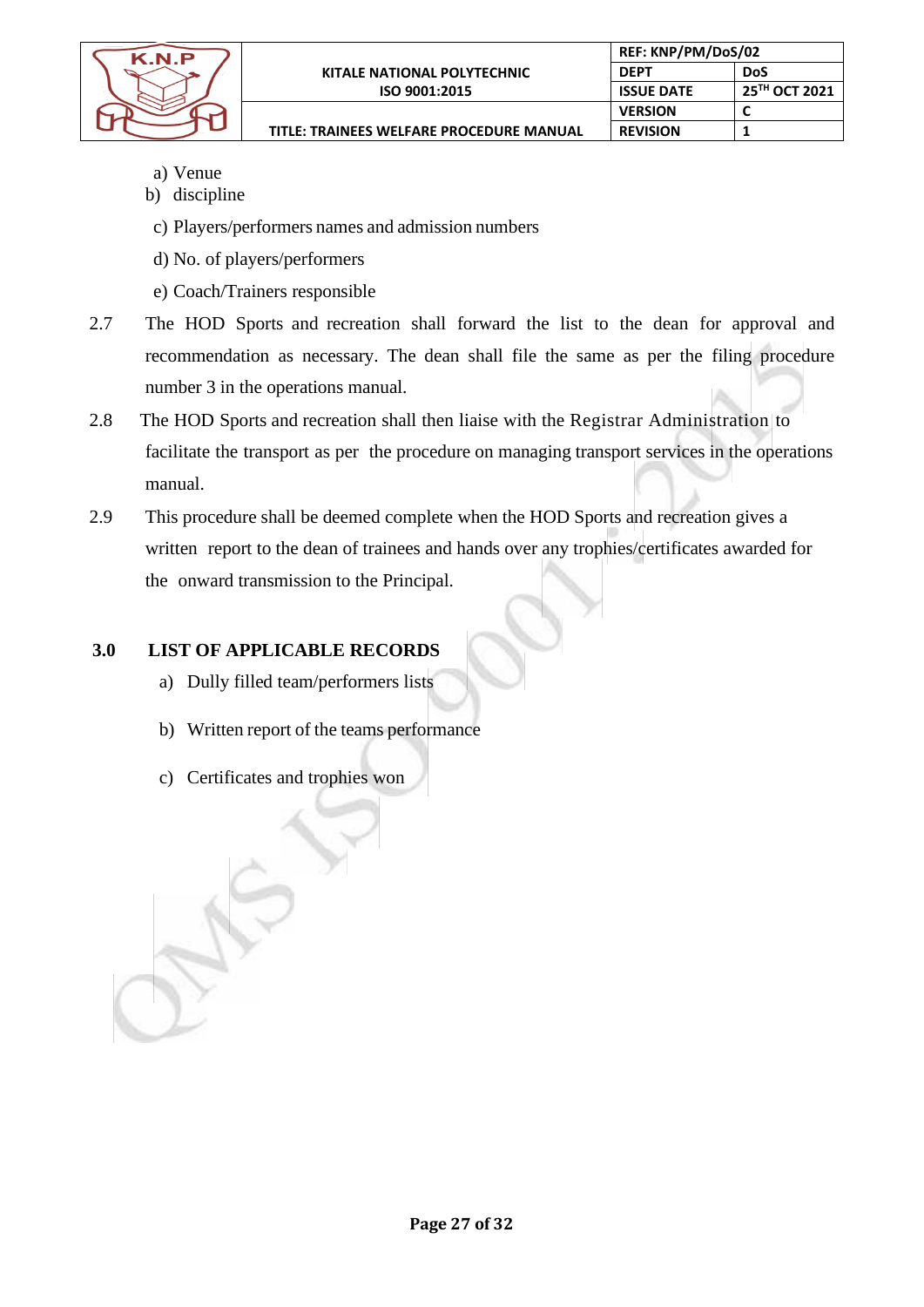

**REF: KNP/PM/DoS/02 DEPT DoS**

**REVISION 1**

**VERSION** 

**ISSUE DATE 25<sup>TH</sup> OCT 2021**<br>**VERSION C** 

**TITLE: TRAINEES WELFARE PROCEDURE MANUAL**

- a) Venue
- b) discipline
- c) Players/performers names and admission numbers
- d) No. of players/performers
- e) Coach/Trainers responsible
- 2.7 The HOD Sports and recreation shall forward the list to the dean for approval and recommendation as necessary. The dean shall file the same as per the filing procedure number 3 in the operations manual.
- 2.8 The HOD Sports and recreation shall then liaise with the Registrar Administration to facilitate the transport as per the procedure on managing transport services in the operations manual.
- 2.9 This procedure shall be deemed complete when the HOD Sports and recreation gives a written report to the dean of trainees and hands over any trophies/certificates awarded for the onward transmission to the Principal.

# **3.0 LIST OF APPLICABLE RECORDS**

- a) Dully filled team/performers lists
- b) Written report of the teams performance
- c) Certificates and trophies won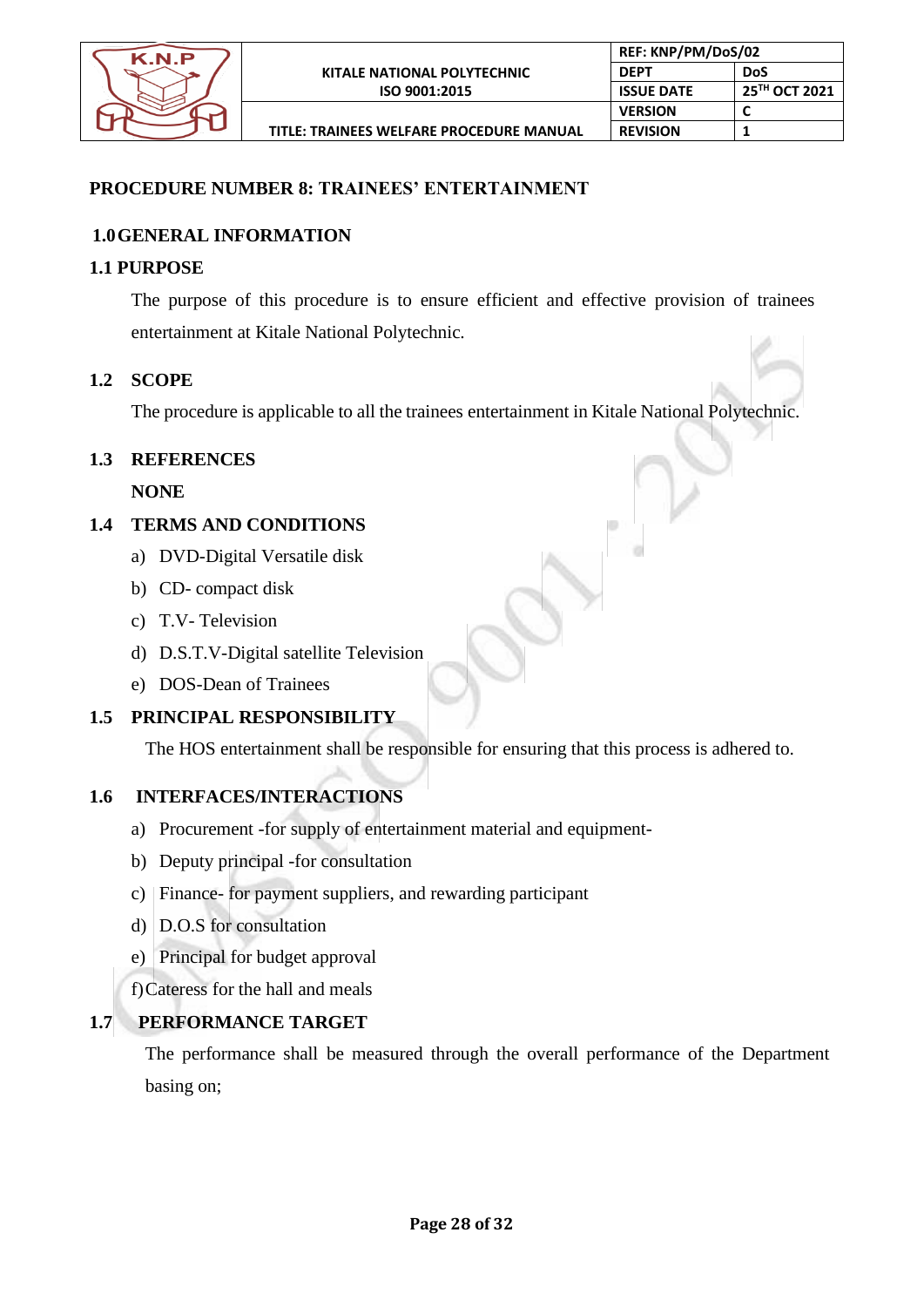

# **PROCEDURE NUMBER 8: TRAINEES' ENTERTAINMENT**

# **1.0GENERAL INFORMATION**

#### **1.1 PURPOSE**

The purpose of this procedure is to ensure efficient and effective provision of trainees entertainment at Kitale National Polytechnic.

#### **1.2 SCOPE**

The procedure is applicable to all the trainees entertainment in Kitale National Polytechnic.

# **1.3 REFERENCES**

**NONE**

# **1.4 TERMS AND CONDITIONS**

- a) DVD-Digital Versatile disk
- b) CD- compact disk
- c) T.V- Television
- d) D.S.T.V-Digital satellite Television
- e) DOS-Dean of Trainees

# **1.5 PRINCIPAL RESPONSIBILITY**

The HOS entertainment shall be responsible for ensuring that this process is adhered to.

# **1.6 INTERFACES/INTERACTIONS**

- a) Procurement -for supply of entertainment material and equipment-
- b) Deputy principal -for consultation
- c) Finance- for payment suppliers, and rewarding participant
- d) D.O.S for consultation
- e) Principal for budget approval

f)Cateress for the hall and meals

# **1.7 PERFORMANCE TARGET**

The performance shall be measured through the overall performance of the Department basing on;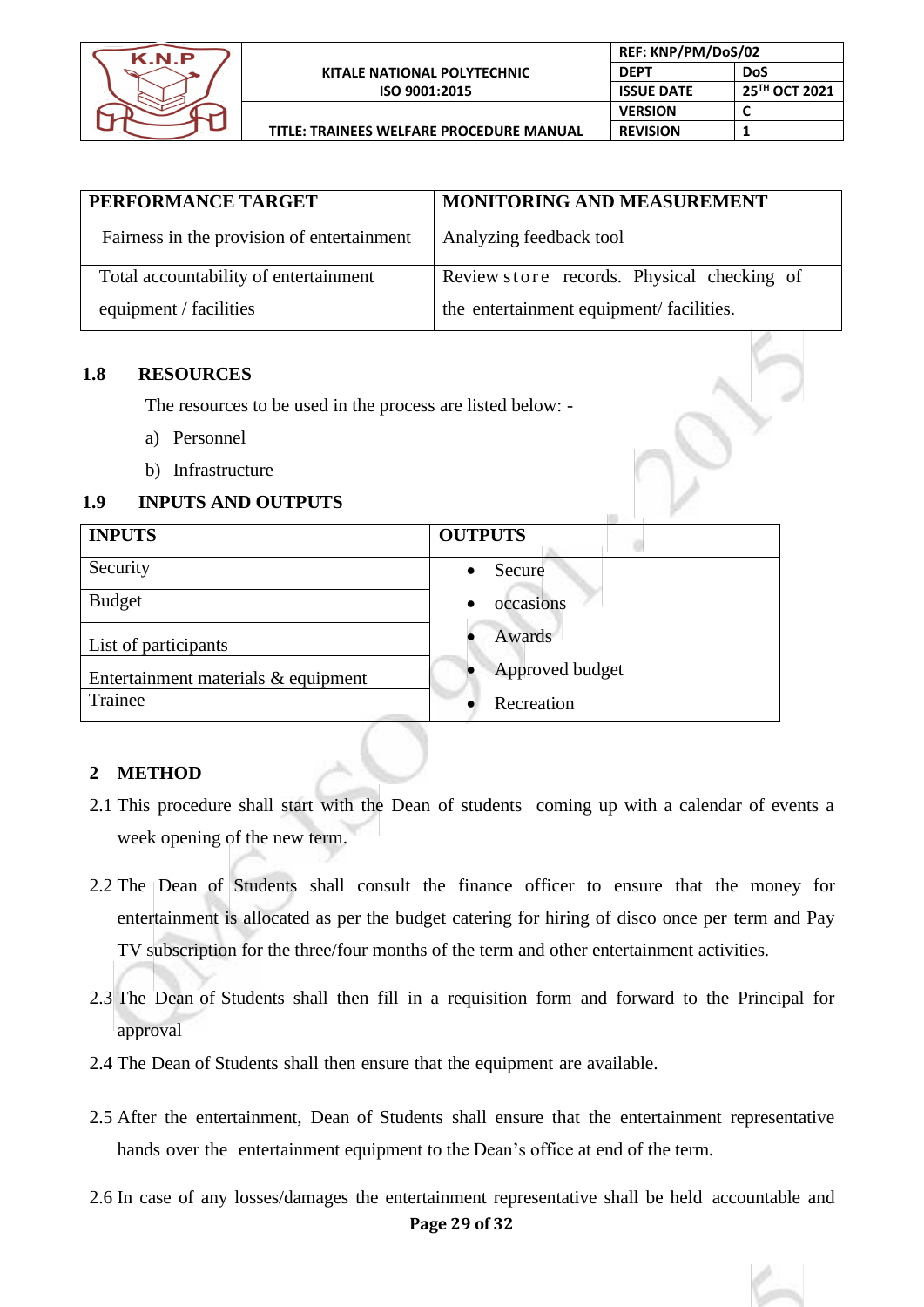

| PERFORMANCE TARGET                         | MONITORING AND MEASUREMENT                 |
|--------------------------------------------|--------------------------------------------|
| Fairness in the provision of entertainment | Analyzing feedback tool                    |
| Total accountability of entertainment      | Review store records. Physical checking of |
| equipment / facilities                     | the entertainment equipment/facilities.    |

# **1.8 RESOURCES**

The resources to be used in the process are listed below: -

- a) Personnel
- b) Infrastructure

# **1.9 INPUTS AND OUTPUTS**

| <b>INPUTS</b>                       | <b>OUTPUTS</b>      |
|-------------------------------------|---------------------|
| Security                            | Secure<br>$\bullet$ |
| <b>Budget</b>                       | occasions           |
| List of participants                | Awards              |
| Entertainment materials & equipment | Approved budget     |
| Trainee                             | Recreation          |

#### **2 METHOD**

- 2.1 This procedure shall start with the Dean of students coming up with a calendar of events a week opening of the new term.
- 2.2 The Dean of Students shall consult the finance officer to ensure that the money for entertainment is allocated as per the budget catering for hiring of disco once per term and Pay TV subscription for the three/four months of the term and other entertainment activities.
- 2.3 The Dean of Students shall then fill in a requisition form and forward to the Principal for approval
- 2.4 The Dean of Students shall then ensure that the equipment are available.
- 2.5 After the entertainment, Dean of Students shall ensure that the entertainment representative hands over the entertainment equipment to the Dean's office at end of the term.
- **Page 29 of 32** 2.6 In case of any losses/damages the entertainment representative shall be held accountable and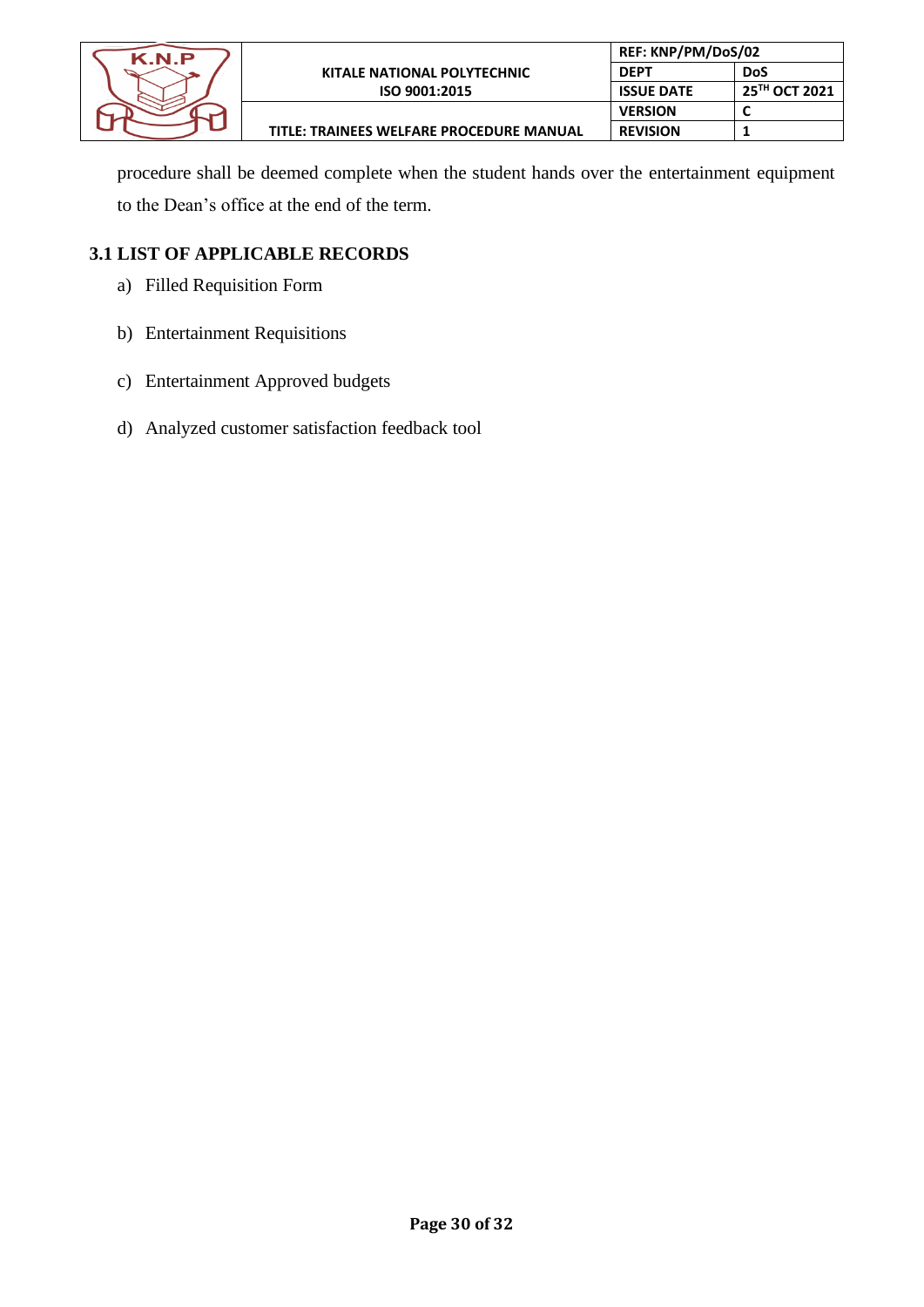| K N P |                                          | REF: KNP/PM/DoS/02 |                           |
|-------|------------------------------------------|--------------------|---------------------------|
|       | <b>KITALE NATIONAL POLYTECHNIC</b>       | <b>DEPT</b>        | DoS                       |
|       | ISO 9001:2015                            | <b>ISSUE DATE</b>  | 25 <sup>TH</sup> OCT 2021 |
|       |                                          | <b>VERSION</b>     |                           |
|       | TITLE: TRAINEES WELFARE PROCEDURE MANUAL | <b>REVISION</b>    |                           |

procedure shall be deemed complete when the student hands over the entertainment equipment to the Dean's office at the end of the term.

# **3.1 LIST OF APPLICABLE RECORDS**

- a) Filled Requisition Form
- b) Entertainment Requisitions
- c) Entertainment Approved budgets
- d) Analyzed customer satisfaction feedback tool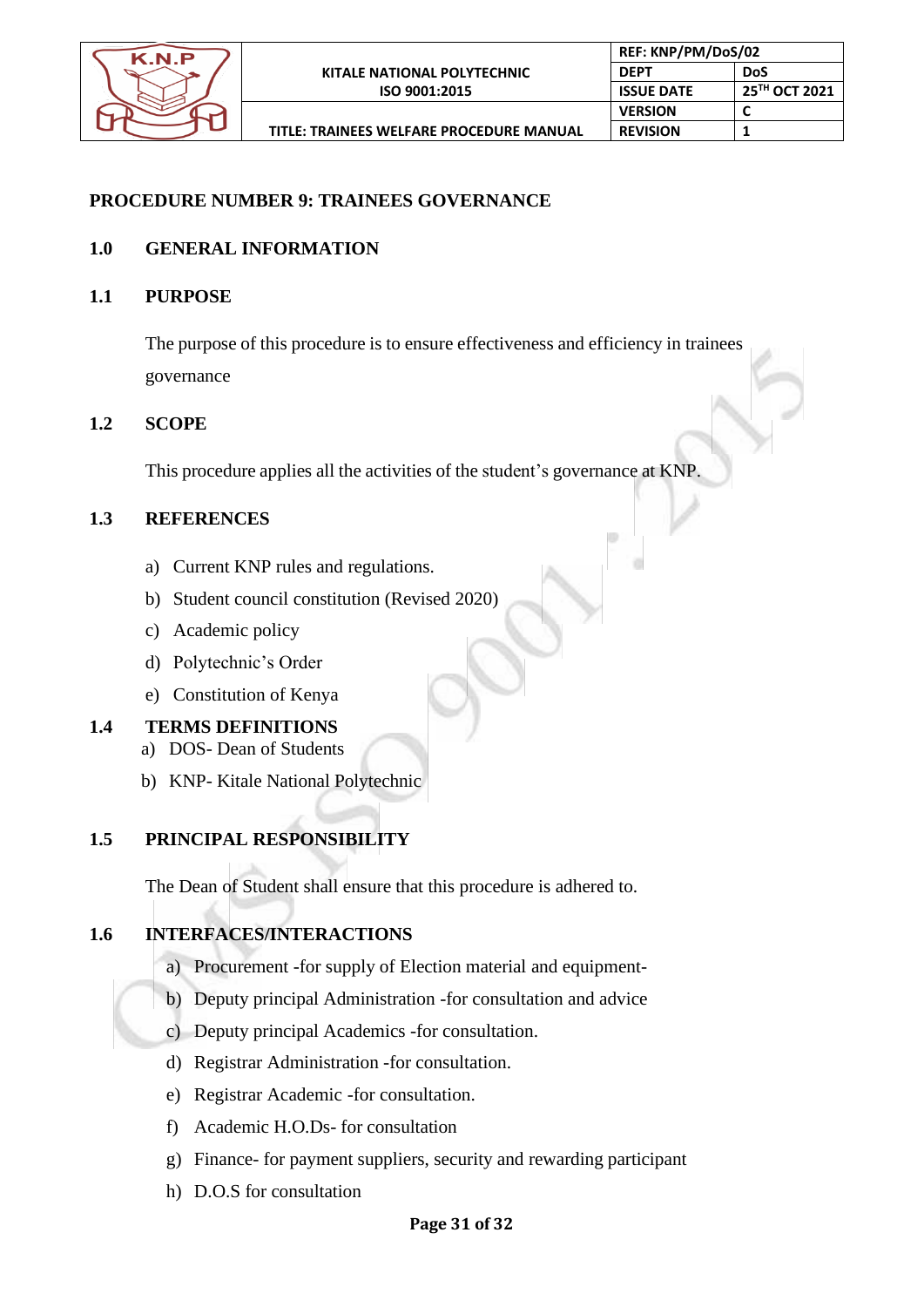

n

# **PROCEDURE NUMBER 9: TRAINEES GOVERNANCE**

# **1.0 GENERAL INFORMATION**

**1.1 PURPOSE**

The purpose of this procedure is to ensure effectiveness and efficiency in trainees governance

# **1.2 SCOPE**

This procedure applies all the activities of the student's governance at KNP.

# **1.3 REFERENCES**

- a) Current KNP rules and regulations.
- b) Student council constitution (Revised 2020)
- c) Academic policy
- d) Polytechnic's Order
- e) Constitution of Kenya

#### **1.4 TERMS DEFINITIONS**

- a) DOS- Dean of Students
- b) KNP- Kitale National Polytechnic

# **1.5 PRINCIPAL RESPONSIBILITY**

The Dean of Student shall ensure that this procedure is adhered to.

# **1.6 INTERFACES/INTERACTIONS**

- a) Procurement -for supply of Election material and equipment-
- b) Deputy principal Administration -for consultation and advice
- c) Deputy principal Academics -for consultation.
- d) Registrar Administration -for consultation.
- e) Registrar Academic -for consultation.
- f) Academic H.O.Ds- for consultation
- g) Finance- for payment suppliers, security and rewarding participant
- h) D.O.S for consultation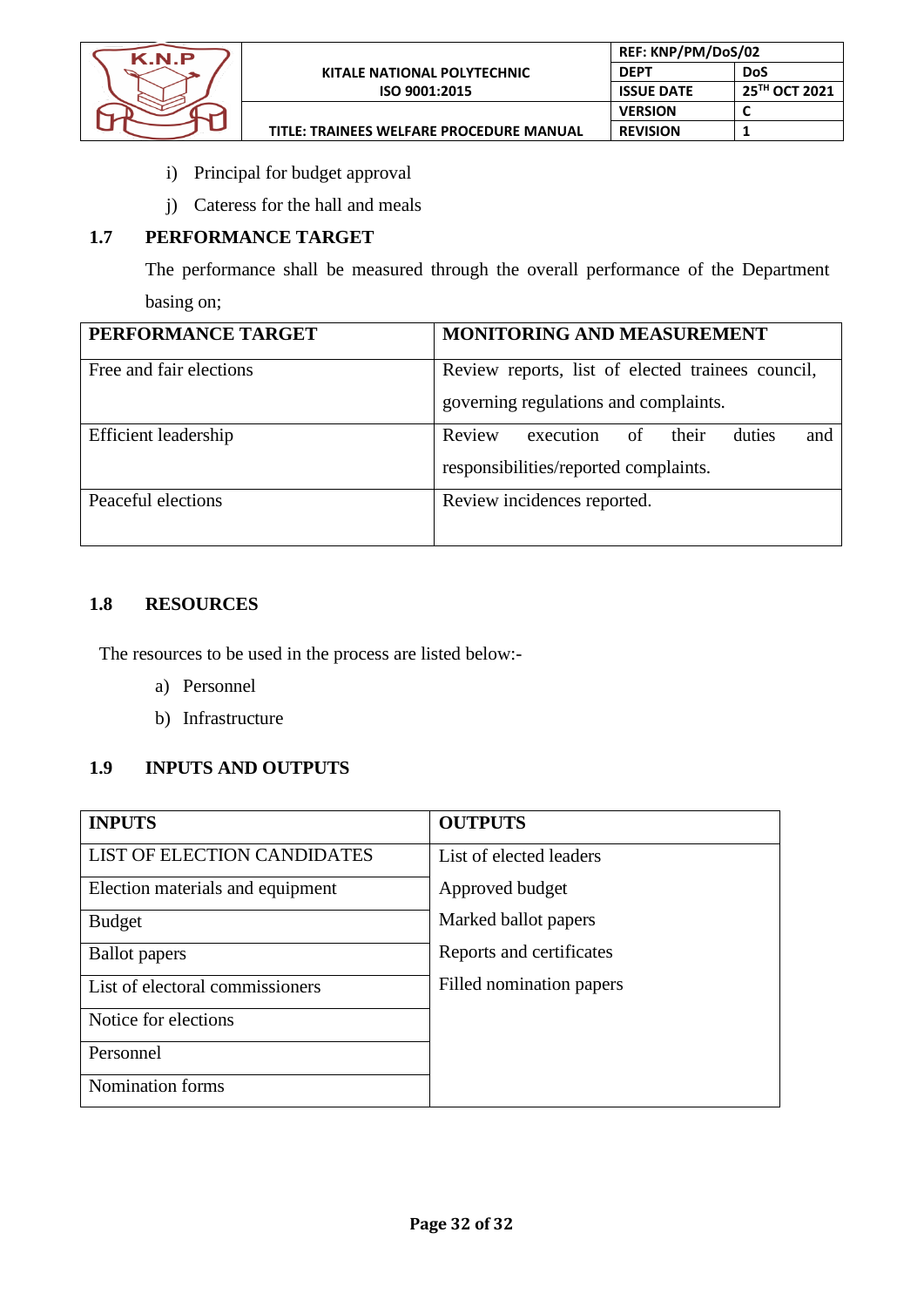

- i) Principal for budget approval
- j) Cateress for the hall and meals

# **1.7 PERFORMANCE TARGET**

The performance shall be measured through the overall performance of the Department basing on;

| PERFORMANCE TARGET          | MONITORING AND MEASUREMENT                                                                 |
|-----------------------------|--------------------------------------------------------------------------------------------|
| Free and fair elections     | Review reports, list of elected trainees council,<br>governing regulations and complaints. |
|                             |                                                                                            |
| <b>Efficient</b> leadership | Review<br>execution of<br>duties<br>their<br>and                                           |
|                             | responsibilities/reported complaints.                                                      |
| Peaceful elections          | Review incidences reported.                                                                |
|                             |                                                                                            |

# **1.8 RESOURCES**

The resources to be used in the process are listed below:-

- a) Personnel
- b) Infrastructure

# **1.9 INPUTS AND OUTPUTS**

| <b>INPUTS</b>                      | <b>OUTPUTS</b>           |
|------------------------------------|--------------------------|
| <b>LIST OF ELECTION CANDIDATES</b> | List of elected leaders  |
| Election materials and equipment   | Approved budget          |
| <b>Budget</b>                      | Marked ballot papers     |
| <b>Ballot</b> papers               | Reports and certificates |
| List of electoral commissioners    | Filled nomination papers |
| Notice for elections               |                          |
| Personnel                          |                          |
| Nomination forms                   |                          |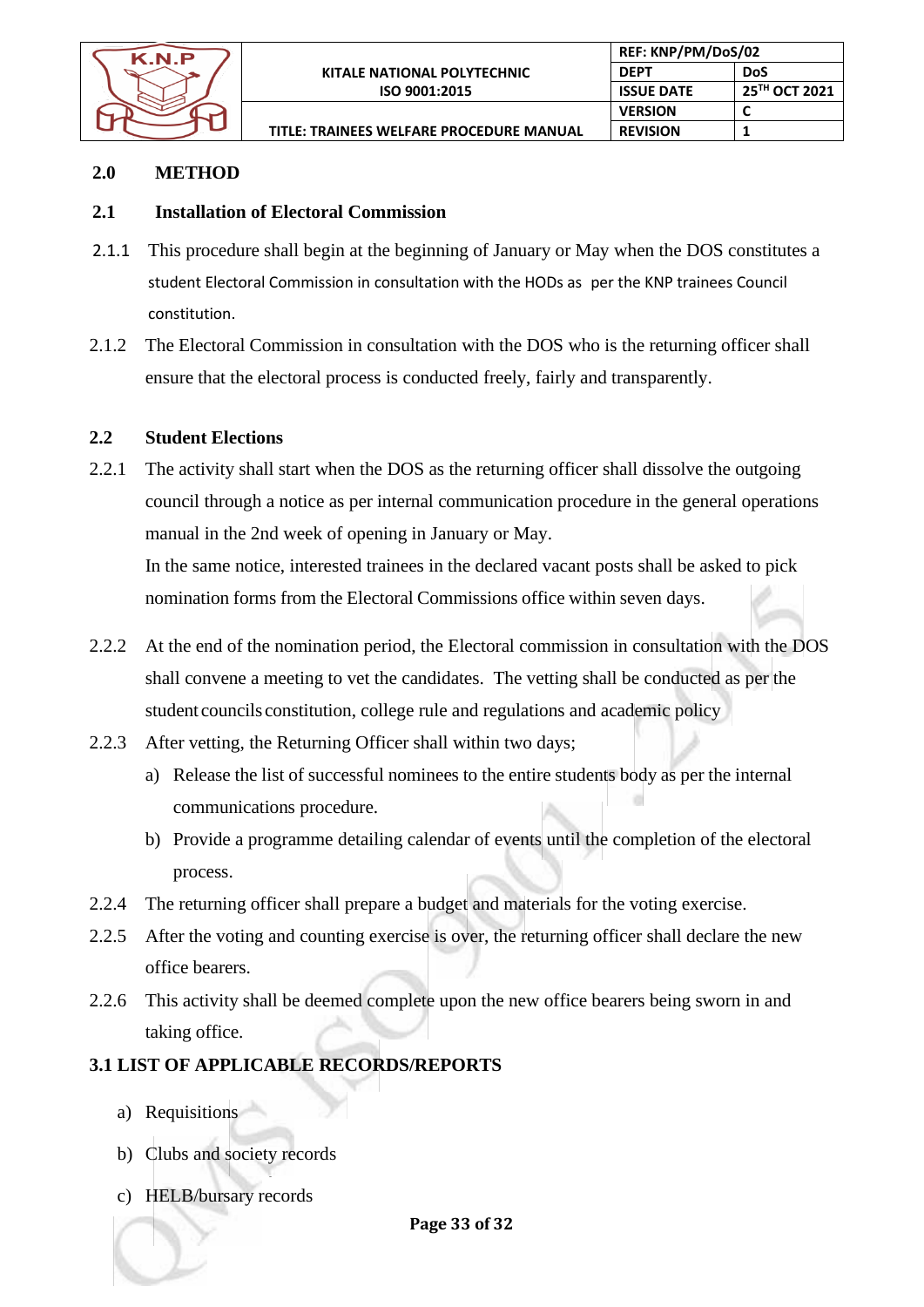

**REF: KNP/PM/DoS/02 DEPT DoS**

**VERSION C REVISION 1**

**ISSUE DATE 25TH OCT 2021**

**TITLE: TRAINEES WELFARE PROCEDURE MANUAL**

# **2.0 METHOD**

# **2.1 Installation of Electoral Commission**

- 2.1.1 This procedure shall begin at the beginning of January or May when the DOS constitutes a student Electoral Commission in consultation with the HODs as per the KNP trainees Council constitution.
- 2.1.2 The Electoral Commission in consultation with the DOS who is the returning officer shall ensure that the electoral process is conducted freely, fairly and transparently.

# **2.2 Student Elections**

2.2.1 The activity shall start when the DOS as the returning officer shall dissolve the outgoing council through a notice as per internal communication procedure in the general operations manual in the 2nd week of opening in January or May.

In the same notice, interested trainees in the declared vacant posts shall be asked to pick nomination forms from the Electoral Commissions office within seven days.

- 2.2.2 At the end of the nomination period, the Electoral commission in consultation with the DOS shall convene a meeting to vet the candidates. The vetting shall be conducted as per the student councils constitution, college rule and regulations and academic policy
- 2.2.3 After vetting, the Returning Officer shall within two days;
	- a) Release the list of successful nominees to the entire students body as per the internal communications procedure.
	- b) Provide a programme detailing calendar of events until the completion of the electoral process.
- 2.2.4 The returning officer shall prepare a budget and materials for the voting exercise.
- 2.2.5 After the voting and counting exercise is over, the returning officer shall declare the new office bearers.
- 2.2.6 This activity shall be deemed complete upon the new office bearers being sworn in and taking office.

# **3.1 LIST OF APPLICABLE RECORDS/REPORTS**

- a) Requisitions
- b) Clubs and society records
- c) HELB/bursary records